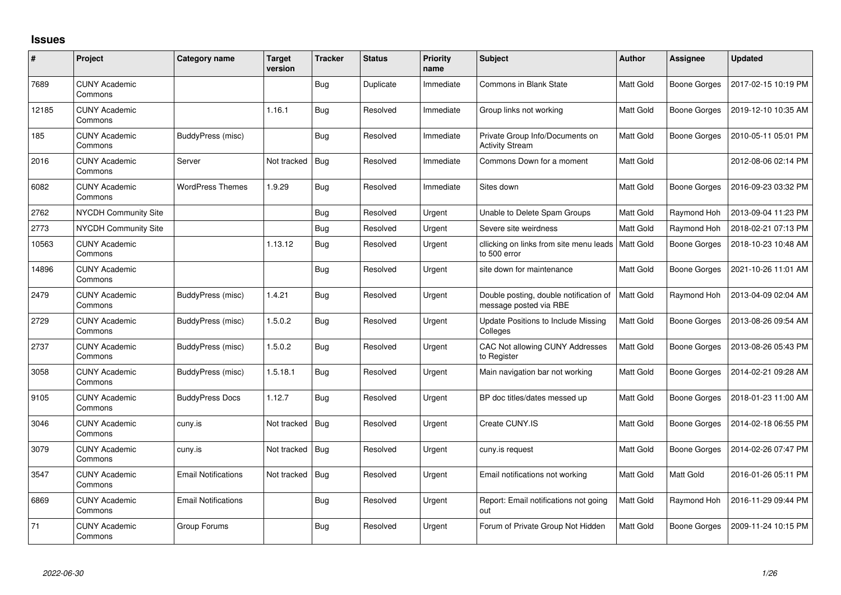## **Issues**

| #     | Project                         | Category name              | <b>Target</b><br>version | <b>Tracker</b> | <b>Status</b> | <b>Priority</b><br>name | Subject                                                          | <b>Author</b> | <b>Assignee</b>     | <b>Updated</b>      |
|-------|---------------------------------|----------------------------|--------------------------|----------------|---------------|-------------------------|------------------------------------------------------------------|---------------|---------------------|---------------------|
| 7689  | <b>CUNY Academic</b><br>Commons |                            |                          | Bug            | Duplicate     | Immediate               | Commons in Blank State                                           | Matt Gold     | <b>Boone Gorges</b> | 2017-02-15 10:19 PM |
| 12185 | <b>CUNY Academic</b><br>Commons |                            | 1.16.1                   | <b>Bug</b>     | Resolved      | Immediate               | Group links not working                                          | Matt Gold     | Boone Gorges        | 2019-12-10 10:35 AM |
| 185   | <b>CUNY Academic</b><br>Commons | BuddyPress (misc)          |                          | <b>Bug</b>     | Resolved      | Immediate               | Private Group Info/Documents on<br><b>Activity Stream</b>        | Matt Gold     | Boone Gorges        | 2010-05-11 05:01 PM |
| 2016  | <b>CUNY Academic</b><br>Commons | Server                     | Not tracked   Bug        |                | Resolved      | Immediate               | Commons Down for a moment                                        | Matt Gold     |                     | 2012-08-06 02:14 PM |
| 6082  | <b>CUNY Academic</b><br>Commons | <b>WordPress Themes</b>    | 1.9.29                   | Bug            | Resolved      | Immediate               | Sites down                                                       | Matt Gold     | Boone Gorges        | 2016-09-23 03:32 PM |
| 2762  | <b>NYCDH Community Site</b>     |                            |                          | <b>Bug</b>     | Resolved      | Urgent                  | Unable to Delete Spam Groups                                     | Matt Gold     | Raymond Hoh         | 2013-09-04 11:23 PM |
| 2773  | <b>NYCDH Community Site</b>     |                            |                          | <b>Bug</b>     | Resolved      | Urgent                  | Severe site weirdness                                            | Matt Gold     | Raymond Hoh         | 2018-02-21 07:13 PM |
| 10563 | <b>CUNY Academic</b><br>Commons |                            | 1.13.12                  | <b>Bug</b>     | Resolved      | Urgent                  | cllicking on links from site menu leads<br>to 500 error          | Matt Gold     | Boone Gorges        | 2018-10-23 10:48 AM |
| 14896 | <b>CUNY Academic</b><br>Commons |                            |                          | i Bug          | Resolved      | Urgent                  | site down for maintenance                                        | Matt Gold     | Boone Gorges        | 2021-10-26 11:01 AM |
| 2479  | <b>CUNY Academic</b><br>Commons | BuddyPress (misc)          | 1.4.21                   | Bug            | Resolved      | Urgent                  | Double posting, double notification of<br>message posted via RBE | Matt Gold     | Raymond Hoh         | 2013-04-09 02:04 AM |
| 2729  | <b>CUNY Academic</b><br>Commons | BuddyPress (misc)          | 1.5.0.2                  | <b>Bug</b>     | Resolved      | Urgent                  | Update Positions to Include Missing<br>Colleges                  | Matt Gold     | <b>Boone Gorges</b> | 2013-08-26 09:54 AM |
| 2737  | <b>CUNY Academic</b><br>Commons | BuddyPress (misc)          | 1.5.0.2                  | Bug            | Resolved      | Urgent                  | CAC Not allowing CUNY Addresses<br>to Register                   | Matt Gold     | Boone Gorges        | 2013-08-26 05:43 PM |
| 3058  | <b>CUNY Academic</b><br>Commons | BuddyPress (misc)          | 1.5.18.1                 | <b>Bug</b>     | Resolved      | Urgent                  | Main navigation bar not working                                  | Matt Gold     | Boone Gorges        | 2014-02-21 09:28 AM |
| 9105  | <b>CUNY Academic</b><br>Commons | <b>BuddyPress Docs</b>     | 1.12.7                   | <b>Bug</b>     | Resolved      | Urgent                  | BP doc titles/dates messed up                                    | Matt Gold     | Boone Gorges        | 2018-01-23 11:00 AM |
| 3046  | <b>CUNY Academic</b><br>Commons | cuny.is                    | Not tracked   Bug        |                | Resolved      | Urgent                  | Create CUNY.IS                                                   | Matt Gold     | Boone Gorges        | 2014-02-18 06:55 PM |
| 3079  | <b>CUNY Academic</b><br>Commons | cuny.is                    | Not tracked              | Bug            | Resolved      | Urgent                  | cuny.is request                                                  | Matt Gold     | Boone Gorges        | 2014-02-26 07:47 PM |
| 3547  | <b>CUNY Academic</b><br>Commons | <b>Email Notifications</b> | Not tracked              | Bug            | Resolved      | Urgent                  | Email notifications not working                                  | Matt Gold     | Matt Gold           | 2016-01-26 05:11 PM |
| 6869  | <b>CUNY Academic</b><br>Commons | <b>Email Notifications</b> |                          | Bug            | Resolved      | Urgent                  | Report: Email notifications not going<br>out                     | Matt Gold     | Raymond Hoh         | 2016-11-29 09:44 PM |
| 71    | <b>CUNY Academic</b><br>Commons | Group Forums               |                          | <b>Bug</b>     | Resolved      | Urgent                  | Forum of Private Group Not Hidden                                | Matt Gold     | Boone Gorges        | 2009-11-24 10:15 PM |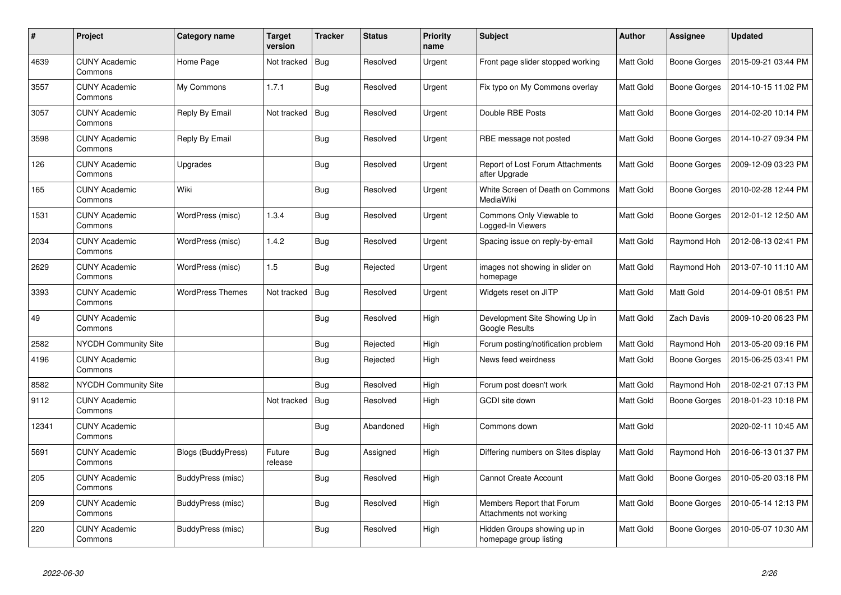| $\#$  | Project                         | Category name           | <b>Target</b><br>version | <b>Tracker</b> | <b>Status</b> | <b>Priority</b><br>name | <b>Subject</b>                                          | <b>Author</b> | Assignee            | <b>Updated</b>      |
|-------|---------------------------------|-------------------------|--------------------------|----------------|---------------|-------------------------|---------------------------------------------------------|---------------|---------------------|---------------------|
| 4639  | <b>CUNY Academic</b><br>Commons | Home Page               | Not tracked   Bug        |                | Resolved      | Urgent                  | Front page slider stopped working                       | Matt Gold     | Boone Gorges        | 2015-09-21 03:44 PM |
| 3557  | <b>CUNY Academic</b><br>Commons | My Commons              | 1.7.1                    | Bug            | Resolved      | Urgent                  | Fix typo on My Commons overlay                          | Matt Gold     | Boone Gorges        | 2014-10-15 11:02 PM |
| 3057  | <b>CUNY Academic</b><br>Commons | Reply By Email          | Not tracked              | Bug            | Resolved      | Urgent                  | Double RBE Posts                                        | Matt Gold     | <b>Boone Gorges</b> | 2014-02-20 10:14 PM |
| 3598  | <b>CUNY Academic</b><br>Commons | Reply By Email          |                          | Bug            | Resolved      | Urgent                  | RBE message not posted                                  | Matt Gold     | Boone Gorges        | 2014-10-27 09:34 PM |
| 126   | <b>CUNY Academic</b><br>Commons | Upgrades                |                          | Bug            | Resolved      | Urgent                  | Report of Lost Forum Attachments<br>after Upgrade       | Matt Gold     | Boone Gorges        | 2009-12-09 03:23 PM |
| 165   | <b>CUNY Academic</b><br>Commons | Wiki                    |                          | Bug            | Resolved      | Urgent                  | White Screen of Death on Commons<br>MediaWiki           | Matt Gold     | Boone Gorges        | 2010-02-28 12:44 PM |
| 1531  | <b>CUNY Academic</b><br>Commons | WordPress (misc)        | 1.3.4                    | Bug            | Resolved      | Urgent                  | Commons Only Viewable to<br>Logged-In Viewers           | Matt Gold     | Boone Gorges        | 2012-01-12 12:50 AM |
| 2034  | <b>CUNY Academic</b><br>Commons | WordPress (misc)        | 1.4.2                    | <b>Bug</b>     | Resolved      | Urgent                  | Spacing issue on reply-by-email                         | Matt Gold     | Raymond Hoh         | 2012-08-13 02:41 PM |
| 2629  | <b>CUNY Academic</b><br>Commons | WordPress (misc)        | 1.5                      | Bug            | Rejected      | Urgent                  | images not showing in slider on<br>homepage             | Matt Gold     | Raymond Hoh         | 2013-07-10 11:10 AM |
| 3393  | <b>CUNY Academic</b><br>Commons | <b>WordPress Themes</b> | Not tracked              | Bug            | Resolved      | Urgent                  | Widgets reset on JITP                                   | Matt Gold     | Matt Gold           | 2014-09-01 08:51 PM |
| 49    | <b>CUNY Academic</b><br>Commons |                         |                          | <b>Bug</b>     | Resolved      | High                    | Development Site Showing Up in<br><b>Google Results</b> | Matt Gold     | Zach Davis          | 2009-10-20 06:23 PM |
| 2582  | NYCDH Community Site            |                         |                          | <b>Bug</b>     | Rejected      | High                    | Forum posting/notification problem                      | Matt Gold     | Raymond Hoh         | 2013-05-20 09:16 PM |
| 4196  | <b>CUNY Academic</b><br>Commons |                         |                          | <b>Bug</b>     | Rejected      | High                    | News feed weirdness                                     | Matt Gold     | Boone Gorges        | 2015-06-25 03:41 PM |
| 8582  | NYCDH Community Site            |                         |                          | Bug            | Resolved      | High                    | Forum post doesn't work                                 | Matt Gold     | Raymond Hoh         | 2018-02-21 07:13 PM |
| 9112  | <b>CUNY Academic</b><br>Commons |                         | Not tracked              | Bug            | Resolved      | High                    | <b>GCDI</b> site down                                   | Matt Gold     | Boone Gorges        | 2018-01-23 10:18 PM |
| 12341 | <b>CUNY Academic</b><br>Commons |                         |                          | Bug            | Abandoned     | High                    | Commons down                                            | Matt Gold     |                     | 2020-02-11 10:45 AM |
| 5691  | <b>CUNY Academic</b><br>Commons | Blogs (BuddyPress)      | Future<br>release        | <b>Bug</b>     | Assigned      | High                    | Differing numbers on Sites display                      | Matt Gold     | Raymond Hoh         | 2016-06-13 01:37 PM |
| 205   | <b>CUNY Academic</b><br>Commons | BuddyPress (misc)       |                          | Bug            | Resolved      | High                    | <b>Cannot Create Account</b>                            | Matt Gold     | Boone Gorges        | 2010-05-20 03:18 PM |
| 209   | <b>CUNY Academic</b><br>Commons | BuddyPress (misc)       |                          | Bug            | Resolved      | High                    | Members Report that Forum<br>Attachments not working    | Matt Gold     | Boone Gorges        | 2010-05-14 12:13 PM |
| 220   | <b>CUNY Academic</b><br>Commons | BuddyPress (misc)       |                          | <b>Bug</b>     | Resolved      | High                    | Hidden Groups showing up in<br>homepage group listing   | Matt Gold     | Boone Gorges        | 2010-05-07 10:30 AM |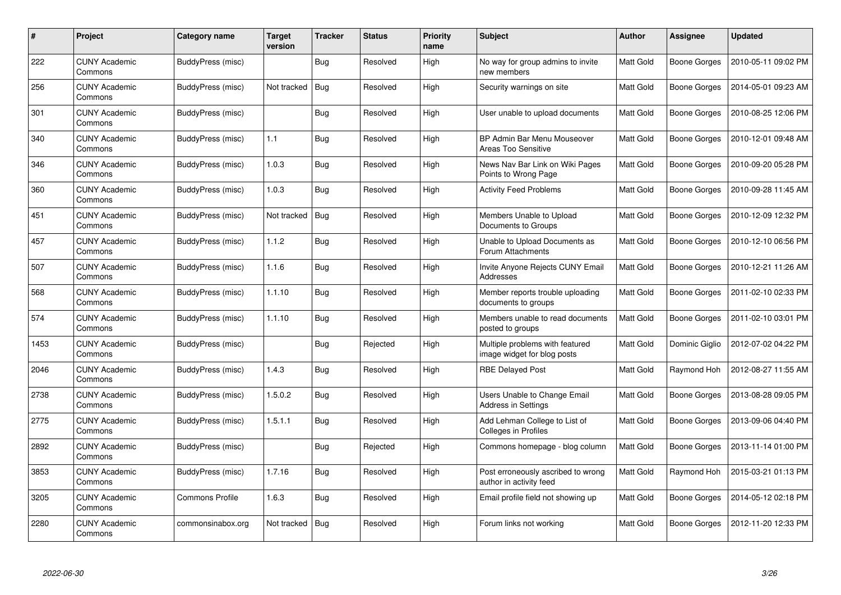| #    | <b>Project</b>                  | Category name          | <b>Target</b><br>version | <b>Tracker</b> | <b>Status</b> | <b>Priority</b><br>name | <b>Subject</b>                                                 | <b>Author</b> | Assignee            | <b>Updated</b>      |
|------|---------------------------------|------------------------|--------------------------|----------------|---------------|-------------------------|----------------------------------------------------------------|---------------|---------------------|---------------------|
| 222  | <b>CUNY Academic</b><br>Commons | BuddyPress (misc)      |                          | <b>Bug</b>     | Resolved      | High                    | No way for group admins to invite<br>new members               | Matt Gold     | <b>Boone Gorges</b> | 2010-05-11 09:02 PM |
| 256  | <b>CUNY Academic</b><br>Commons | BuddyPress (misc)      | Not tracked              | $ $ Bug        | Resolved      | High                    | Security warnings on site                                      | Matt Gold     | Boone Gorges        | 2014-05-01 09:23 AM |
| 301  | <b>CUNY Academic</b><br>Commons | BuddyPress (misc)      |                          | <b>Bug</b>     | Resolved      | High                    | User unable to upload documents                                | Matt Gold     | Boone Gorges        | 2010-08-25 12:06 PM |
| 340  | <b>CUNY Academic</b><br>Commons | BuddyPress (misc)      | 1.1                      | <b>Bug</b>     | Resolved      | High                    | BP Admin Bar Menu Mouseover<br>Areas Too Sensitive             | Matt Gold     | Boone Gorges        | 2010-12-01 09:48 AM |
| 346  | <b>CUNY Academic</b><br>Commons | BuddyPress (misc)      | 1.0.3                    | Bug            | Resolved      | High                    | News Nav Bar Link on Wiki Pages<br>Points to Wrong Page        | Matt Gold     | Boone Gorges        | 2010-09-20 05:28 PM |
| 360  | <b>CUNY Academic</b><br>Commons | BuddyPress (misc)      | 1.0.3                    | Bug            | Resolved      | High                    | <b>Activity Feed Problems</b>                                  | Matt Gold     | Boone Gorges        | 2010-09-28 11:45 AM |
| 451  | <b>CUNY Academic</b><br>Commons | BuddyPress (misc)      | Not tracked              | <b>Bug</b>     | Resolved      | High                    | Members Unable to Upload<br>Documents to Groups                | Matt Gold     | <b>Boone Gorges</b> | 2010-12-09 12:32 PM |
| 457  | <b>CUNY Academic</b><br>Commons | BuddyPress (misc)      | 1.1.2                    | Bug            | Resolved      | High                    | Unable to Upload Documents as<br>Forum Attachments             | Matt Gold     | Boone Gorges        | 2010-12-10 06:56 PM |
| 507  | <b>CUNY Academic</b><br>Commons | BuddyPress (misc)      | 1.1.6                    | <b>Bug</b>     | Resolved      | High                    | Invite Anyone Rejects CUNY Email<br>Addresses                  | Matt Gold     | Boone Gorges        | 2010-12-21 11:26 AM |
| 568  | <b>CUNY Academic</b><br>Commons | BuddyPress (misc)      | 1.1.10                   | <b>Bug</b>     | Resolved      | High                    | Member reports trouble uploading<br>documents to groups        | Matt Gold     | Boone Gorges        | 2011-02-10 02:33 PM |
| 574  | <b>CUNY Academic</b><br>Commons | BuddyPress (misc)      | 1.1.10                   | <b>Bug</b>     | Resolved      | High                    | Members unable to read documents<br>posted to groups           | Matt Gold     | Boone Gorges        | 2011-02-10 03:01 PM |
| 1453 | <b>CUNY Academic</b><br>Commons | BuddyPress (misc)      |                          | Bug            | Rejected      | High                    | Multiple problems with featured<br>image widget for blog posts | Matt Gold     | Dominic Giglio      | 2012-07-02 04:22 PM |
| 2046 | <b>CUNY Academic</b><br>Commons | BuddyPress (misc)      | 1.4.3                    | <b>Bug</b>     | Resolved      | High                    | <b>RBE Delayed Post</b>                                        | Matt Gold     | Raymond Hoh         | 2012-08-27 11:55 AM |
| 2738 | <b>CUNY Academic</b><br>Commons | BuddyPress (misc)      | 1.5.0.2                  | Bug            | Resolved      | High                    | Users Unable to Change Email<br><b>Address in Settings</b>     | Matt Gold     | Boone Gorges        | 2013-08-28 09:05 PM |
| 2775 | <b>CUNY Academic</b><br>Commons | BuddyPress (misc)      | 1.5.1.1                  | Bug            | Resolved      | High                    | Add Lehman College to List of<br><b>Colleges in Profiles</b>   | Matt Gold     | Boone Gorges        | 2013-09-06 04:40 PM |
| 2892 | <b>CUNY Academic</b><br>Commons | BuddyPress (misc)      |                          | <b>Bug</b>     | Rejected      | High                    | Commons homepage - blog column                                 | Matt Gold     | Boone Gorges        | 2013-11-14 01:00 PM |
| 3853 | <b>CUNY Academic</b><br>Commons | BuddyPress (misc)      | 1.7.16                   | <b>Bug</b>     | Resolved      | High                    | Post erroneously ascribed to wrong<br>author in activity feed  | Matt Gold     | Raymond Hoh         | 2015-03-21 01:13 PM |
| 3205 | <b>CUNY Academic</b><br>Commons | <b>Commons Profile</b> | 1.6.3                    | <b>Bug</b>     | Resolved      | High                    | Email profile field not showing up                             | Matt Gold     | Boone Gorges        | 2014-05-12 02:18 PM |
| 2280 | <b>CUNY Academic</b><br>Commons | commonsinabox.org      | Not tracked              | Bug            | Resolved      | High                    | Forum links not working                                        | Matt Gold     | Boone Gorges        | 2012-11-20 12:33 PM |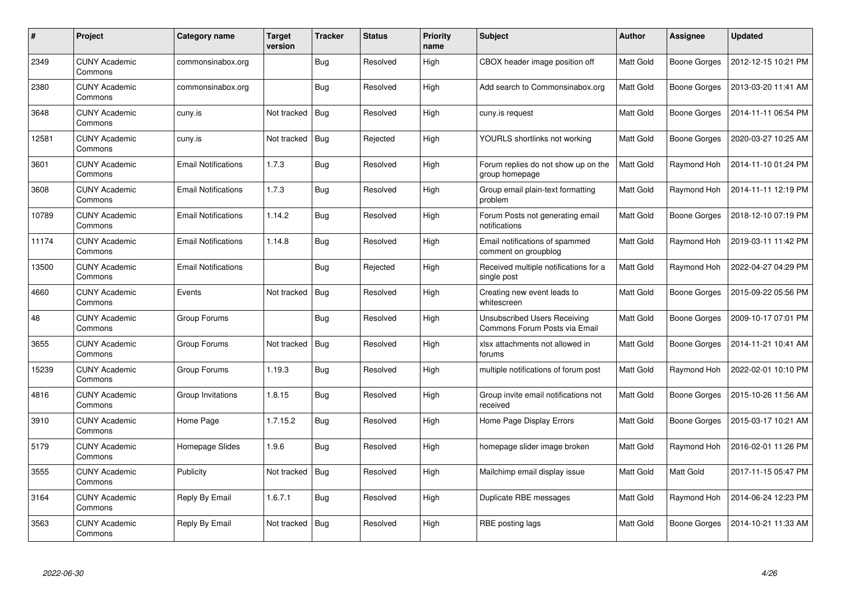| #     | <b>Project</b>                  | Category name              | <b>Target</b><br>version | <b>Tracker</b> | <b>Status</b> | <b>Priority</b><br>name | <b>Subject</b>                                                       | <b>Author</b> | Assignee            | <b>Updated</b>      |
|-------|---------------------------------|----------------------------|--------------------------|----------------|---------------|-------------------------|----------------------------------------------------------------------|---------------|---------------------|---------------------|
| 2349  | <b>CUNY Academic</b><br>Commons | commonsinabox.org          |                          | <b>Bug</b>     | Resolved      | High                    | CBOX header image position off                                       | Matt Gold     | Boone Gorges        | 2012-12-15 10:21 PM |
| 2380  | <b>CUNY Academic</b><br>Commons | commonsinabox.org          |                          | <b>Bug</b>     | Resolved      | High                    | Add search to Commonsinabox.org                                      | Matt Gold     | Boone Gorges        | 2013-03-20 11:41 AM |
| 3648  | <b>CUNY Academic</b><br>Commons | cuny.is                    | Not tracked              | Bug            | Resolved      | High                    | cuny.is request                                                      | Matt Gold     | Boone Gorges        | 2014-11-11 06:54 PM |
| 12581 | <b>CUNY Academic</b><br>Commons | cuny.is                    | Not tracked              | Bug            | Rejected      | High                    | YOURLS shortlinks not working                                        | Matt Gold     | Boone Gorges        | 2020-03-27 10:25 AM |
| 3601  | <b>CUNY Academic</b><br>Commons | <b>Email Notifications</b> | 1.7.3                    | <b>Bug</b>     | Resolved      | High                    | Forum replies do not show up on the<br>group homepage                | Matt Gold     | Raymond Hoh         | 2014-11-10 01:24 PM |
| 3608  | <b>CUNY Academic</b><br>Commons | <b>Email Notifications</b> | 1.7.3                    | <b>Bug</b>     | Resolved      | High                    | Group email plain-text formatting<br>problem                         | Matt Gold     | Raymond Hoh         | 2014-11-11 12:19 PM |
| 10789 | <b>CUNY Academic</b><br>Commons | <b>Email Notifications</b> | 1.14.2                   | <b>Bug</b>     | Resolved      | High                    | Forum Posts not generating email<br>notifications                    | Matt Gold     | Boone Gorges        | 2018-12-10 07:19 PM |
| 11174 | <b>CUNY Academic</b><br>Commons | <b>Email Notifications</b> | 1.14.8                   | Bug            | Resolved      | High                    | Email notifications of spammed<br>comment on groupblog               | Matt Gold     | Raymond Hoh         | 2019-03-11 11:42 PM |
| 13500 | <b>CUNY Academic</b><br>Commons | <b>Email Notifications</b> |                          | <b>Bug</b>     | Rejected      | High                    | Received multiple notifications for a<br>single post                 | Matt Gold     | Raymond Hoh         | 2022-04-27 04:29 PM |
| 4660  | <b>CUNY Academic</b><br>Commons | Events                     | Not tracked              | <b>Bug</b>     | Resolved      | High                    | Creating new event leads to<br>whitescreen                           | Matt Gold     | <b>Boone Gorges</b> | 2015-09-22 05:56 PM |
| 48    | <b>CUNY Academic</b><br>Commons | Group Forums               |                          | Bug            | Resolved      | High                    | <b>Unsubscribed Users Receiving</b><br>Commons Forum Posts via Email | Matt Gold     | Boone Gorges        | 2009-10-17 07:01 PM |
| 3655  | <b>CUNY Academic</b><br>Commons | Group Forums               | Not tracked   Bug        |                | Resolved      | High                    | xlsx attachments not allowed in<br>forums                            | Matt Gold     | Boone Gorges        | 2014-11-21 10:41 AM |
| 15239 | <b>CUNY Academic</b><br>Commons | Group Forums               | 1.19.3                   | <b>Bug</b>     | Resolved      | High                    | multiple notifications of forum post                                 | Matt Gold     | Raymond Hoh         | 2022-02-01 10:10 PM |
| 4816  | <b>CUNY Academic</b><br>Commons | Group Invitations          | 1.8.15                   | <b>Bug</b>     | Resolved      | High                    | Group invite email notifications not<br>received                     | Matt Gold     | Boone Gorges        | 2015-10-26 11:56 AM |
| 3910  | <b>CUNY Academic</b><br>Commons | Home Page                  | 1.7.15.2                 | Bug            | Resolved      | High                    | Home Page Display Errors                                             | Matt Gold     | Boone Gorges        | 2015-03-17 10:21 AM |
| 5179  | <b>CUNY Academic</b><br>Commons | Homepage Slides            | 1.9.6                    | Bug            | Resolved      | High                    | homepage slider image broken                                         | Matt Gold     | Raymond Hoh         | 2016-02-01 11:26 PM |
| 3555  | <b>CUNY Academic</b><br>Commons | Publicity                  | Not tracked   Bug        |                | Resolved      | High                    | Mailchimp email display issue                                        | Matt Gold     | Matt Gold           | 2017-11-15 05:47 PM |
| 3164  | <b>CUNY Academic</b><br>Commons | Reply By Email             | 1.6.7.1                  | <b>Bug</b>     | Resolved      | High                    | Duplicate RBE messages                                               | Matt Gold     | Raymond Hoh         | 2014-06-24 12:23 PM |
| 3563  | <b>CUNY Academic</b><br>Commons | Reply By Email             | Not tracked              | Bug            | Resolved      | High                    | RBE posting lags                                                     | Matt Gold     | Boone Gorges        | 2014-10-21 11:33 AM |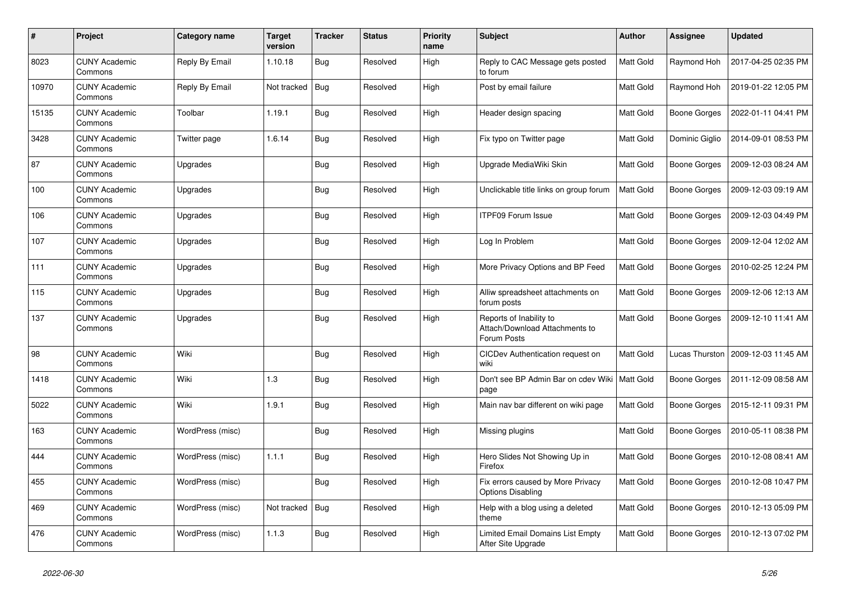| $\#$  | Project                         | Category name    | <b>Target</b><br>version | <b>Tracker</b> | <b>Status</b> | <b>Priority</b><br>name | <b>Subject</b>                                                           | Author           | Assignee            | <b>Updated</b>      |
|-------|---------------------------------|------------------|--------------------------|----------------|---------------|-------------------------|--------------------------------------------------------------------------|------------------|---------------------|---------------------|
| 8023  | <b>CUNY Academic</b><br>Commons | Reply By Email   | 1.10.18                  | <b>Bug</b>     | Resolved      | High                    | Reply to CAC Message gets posted<br>to forum                             | Matt Gold        | Raymond Hoh         | 2017-04-25 02:35 PM |
| 10970 | <b>CUNY Academic</b><br>Commons | Reply By Email   | Not tracked              | <b>Bug</b>     | Resolved      | High                    | Post by email failure                                                    | Matt Gold        | Raymond Hoh         | 2019-01-22 12:05 PM |
| 15135 | <b>CUNY Academic</b><br>Commons | Toolbar          | 1.19.1                   | <b>Bug</b>     | Resolved      | High                    | Header design spacing                                                    | Matt Gold        | <b>Boone Gorges</b> | 2022-01-11 04:41 PM |
| 3428  | <b>CUNY Academic</b><br>Commons | Twitter page     | 1.6.14                   | <b>Bug</b>     | Resolved      | High                    | Fix typo on Twitter page                                                 | Matt Gold        | Dominic Giglio      | 2014-09-01 08:53 PM |
| 87    | <b>CUNY Academic</b><br>Commons | Upgrades         |                          | Bug            | Resolved      | High                    | Upgrade MediaWiki Skin                                                   | Matt Gold        | <b>Boone Gorges</b> | 2009-12-03 08:24 AM |
| 100   | <b>CUNY Academic</b><br>Commons | Upgrades         |                          | <b>Bug</b>     | Resolved      | High                    | Unclickable title links on group forum                                   | Matt Gold        | <b>Boone Gorges</b> | 2009-12-03 09:19 AM |
| 106   | <b>CUNY Academic</b><br>Commons | Upgrades         |                          | Bug            | Resolved      | High                    | <b>ITPF09 Forum Issue</b>                                                | Matt Gold        | <b>Boone Gorges</b> | 2009-12-03 04:49 PM |
| 107   | <b>CUNY Academic</b><br>Commons | Upgrades         |                          | <b>Bug</b>     | Resolved      | High                    | Log In Problem                                                           | Matt Gold        | <b>Boone Gorges</b> | 2009-12-04 12:02 AM |
| 111   | <b>CUNY Academic</b><br>Commons | Upgrades         |                          | <b>Bug</b>     | Resolved      | High                    | More Privacy Options and BP Feed                                         | Matt Gold        | <b>Boone Gorges</b> | 2010-02-25 12:24 PM |
| 115   | <b>CUNY Academic</b><br>Commons | Upgrades         |                          | Bug            | Resolved      | High                    | Alliw spreadsheet attachments on<br>forum posts                          | Matt Gold        | <b>Boone Gorges</b> | 2009-12-06 12:13 AM |
| 137   | <b>CUNY Academic</b><br>Commons | Upgrades         |                          | <b>Bug</b>     | Resolved      | High                    | Reports of Inability to<br>Attach/Download Attachments to<br>Forum Posts | Matt Gold        | <b>Boone Gorges</b> | 2009-12-10 11:41 AM |
| 98    | <b>CUNY Academic</b><br>Commons | Wiki             |                          | <b>Bug</b>     | Resolved      | High                    | CICDev Authentication request on<br>wiki                                 | <b>Matt Gold</b> | Lucas Thurston      | 2009-12-03 11:45 AM |
| 1418  | <b>CUNY Academic</b><br>Commons | Wiki             | 1.3                      | <b>Bug</b>     | Resolved      | High                    | Don't see BP Admin Bar on cdev Wiki<br>page                              | Matt Gold        | <b>Boone Gorges</b> | 2011-12-09 08:58 AM |
| 5022  | <b>CUNY Academic</b><br>Commons | Wiki             | 1.9.1                    | Bug            | Resolved      | High                    | Main nav bar different on wiki page                                      | Matt Gold        | Boone Gorges        | 2015-12-11 09:31 PM |
| 163   | <b>CUNY Academic</b><br>Commons | WordPress (misc) |                          | <b>Bug</b>     | Resolved      | High                    | Missing plugins                                                          | Matt Gold        | Boone Gorges        | 2010-05-11 08:38 PM |
| 444   | <b>CUNY Academic</b><br>Commons | WordPress (misc) | 1.1.1                    | <b>Bug</b>     | Resolved      | High                    | Hero Slides Not Showing Up in<br>Firefox                                 | Matt Gold        | <b>Boone Gorges</b> | 2010-12-08 08:41 AM |
| 455   | <b>CUNY Academic</b><br>Commons | WordPress (misc) |                          | <b>Bug</b>     | Resolved      | High                    | Fix errors caused by More Privacy<br><b>Options Disabling</b>            | Matt Gold        | <b>Boone Gorges</b> | 2010-12-08 10:47 PM |
| 469   | <b>CUNY Academic</b><br>Commons | WordPress (misc) | Not tracked              | Bug            | Resolved      | High                    | Help with a blog using a deleted<br>theme                                | Matt Gold        | Boone Gorges        | 2010-12-13 05:09 PM |
| 476   | <b>CUNY Academic</b><br>Commons | WordPress (misc) | 1.1.3                    | <b>Bug</b>     | Resolved      | High                    | Limited Email Domains List Empty<br>After Site Upgrade                   | Matt Gold        | Boone Gorges        | 2010-12-13 07:02 PM |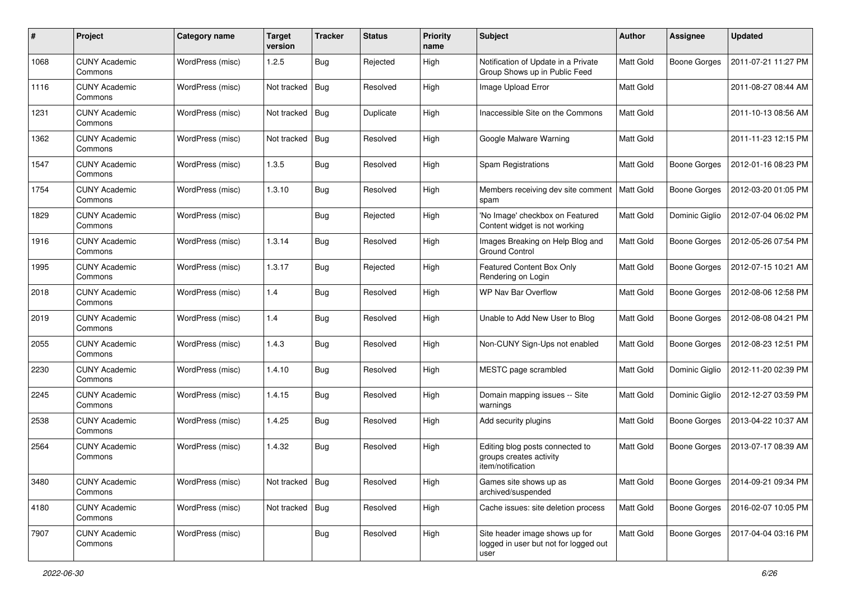| #    | Project                         | <b>Category name</b> | <b>Target</b><br>version | <b>Tracker</b> | <b>Status</b> | <b>Priority</b><br>name | Subject                                                                         | Author           | <b>Assignee</b>     | <b>Updated</b>      |
|------|---------------------------------|----------------------|--------------------------|----------------|---------------|-------------------------|---------------------------------------------------------------------------------|------------------|---------------------|---------------------|
| 1068 | <b>CUNY Academic</b><br>Commons | WordPress (misc)     | 1.2.5                    | <b>Bug</b>     | Rejected      | High                    | Notification of Update in a Private<br>Group Shows up in Public Feed            | Matt Gold        | <b>Boone Gorges</b> | 2011-07-21 11:27 PM |
| 1116 | <b>CUNY Academic</b><br>Commons | WordPress (misc)     | Not tracked              | Bug            | Resolved      | High                    | Image Upload Error                                                              | Matt Gold        |                     | 2011-08-27 08:44 AM |
| 1231 | <b>CUNY Academic</b><br>Commons | WordPress (misc)     | Not tracked              | Bug            | Duplicate     | High                    | Inaccessible Site on the Commons                                                | Matt Gold        |                     | 2011-10-13 08:56 AM |
| 1362 | <b>CUNY Academic</b><br>Commons | WordPress (misc)     | Not tracked              | Bug            | Resolved      | High                    | Google Malware Warning                                                          | Matt Gold        |                     | 2011-11-23 12:15 PM |
| 1547 | <b>CUNY Academic</b><br>Commons | WordPress (misc)     | 1.3.5                    | Bug            | Resolved      | High                    | Spam Registrations                                                              | <b>Matt Gold</b> | <b>Boone Gorges</b> | 2012-01-16 08:23 PM |
| 1754 | <b>CUNY Academic</b><br>Commons | WordPress (misc)     | 1.3.10                   | <b>Bug</b>     | Resolved      | High                    | Members receiving dev site comment<br>spam                                      | Matt Gold        | <b>Boone Gorges</b> | 2012-03-20 01:05 PM |
| 1829 | <b>CUNY Academic</b><br>Commons | WordPress (misc)     |                          | <b>Bug</b>     | Rejected      | High                    | 'No Image' checkbox on Featured<br>Content widget is not working                | Matt Gold        | Dominic Giglio      | 2012-07-04 06:02 PM |
| 1916 | <b>CUNY Academic</b><br>Commons | WordPress (misc)     | 1.3.14                   | <b>Bug</b>     | Resolved      | High                    | Images Breaking on Help Blog and<br><b>Ground Control</b>                       | Matt Gold        | <b>Boone Gorges</b> | 2012-05-26 07:54 PM |
| 1995 | <b>CUNY Academic</b><br>Commons | WordPress (misc)     | 1.3.17                   | <b>Bug</b>     | Rejected      | High                    | Featured Content Box Only<br>Rendering on Login                                 | Matt Gold        | <b>Boone Gorges</b> | 2012-07-15 10:21 AM |
| 2018 | <b>CUNY Academic</b><br>Commons | WordPress (misc)     | 1.4                      | <b>Bug</b>     | Resolved      | High                    | WP Nav Bar Overflow                                                             | Matt Gold        | <b>Boone Gorges</b> | 2012-08-06 12:58 PM |
| 2019 | <b>CUNY Academic</b><br>Commons | WordPress (misc)     | 1.4                      | <b>Bug</b>     | Resolved      | High                    | Unable to Add New User to Blog                                                  | <b>Matt Gold</b> | <b>Boone Gorges</b> | 2012-08-08 04:21 PM |
| 2055 | <b>CUNY Academic</b><br>Commons | WordPress (misc)     | 1.4.3                    | <b>Bug</b>     | Resolved      | High                    | Non-CUNY Sign-Ups not enabled                                                   | Matt Gold        | <b>Boone Gorges</b> | 2012-08-23 12:51 PM |
| 2230 | <b>CUNY Academic</b><br>Commons | WordPress (misc)     | 1.4.10                   | Bug            | Resolved      | High                    | MESTC page scrambled                                                            | Matt Gold        | Dominic Giglio      | 2012-11-20 02:39 PM |
| 2245 | <b>CUNY Academic</b><br>Commons | WordPress (misc)     | 1.4.15                   | <b>Bug</b>     | Resolved      | High                    | Domain mapping issues -- Site<br>warnings                                       | Matt Gold        | Dominic Giglio      | 2012-12-27 03:59 PM |
| 2538 | <b>CUNY Academic</b><br>Commons | WordPress (misc)     | 1.4.25                   | <b>Bug</b>     | Resolved      | High                    | Add security plugins                                                            | Matt Gold        | <b>Boone Gorges</b> | 2013-04-22 10:37 AM |
| 2564 | <b>CUNY Academic</b><br>Commons | WordPress (misc)     | 1.4.32                   | Bug            | Resolved      | High                    | Editing blog posts connected to<br>groups creates activity<br>item/notification | Matt Gold        | <b>Boone Gorges</b> | 2013-07-17 08:39 AM |
| 3480 | <b>CUNY Academic</b><br>Commons | WordPress (misc)     | Not tracked   Bug        |                | Resolved      | High                    | Games site shows up as<br>archived/suspended                                    | Matt Gold        | <b>Boone Gorges</b> | 2014-09-21 09:34 PM |
| 4180 | <b>CUNY Academic</b><br>Commons | WordPress (misc)     | Not tracked $ $ Bug      |                | Resolved      | High                    | Cache issues: site deletion process                                             | Matt Gold        | <b>Boone Gorges</b> | 2016-02-07 10:05 PM |
| 7907 | <b>CUNY Academic</b><br>Commons | WordPress (misc)     |                          | <b>Bug</b>     | Resolved      | High                    | Site header image shows up for<br>logged in user but not for logged out<br>user | Matt Gold        | Boone Gorges        | 2017-04-04 03:16 PM |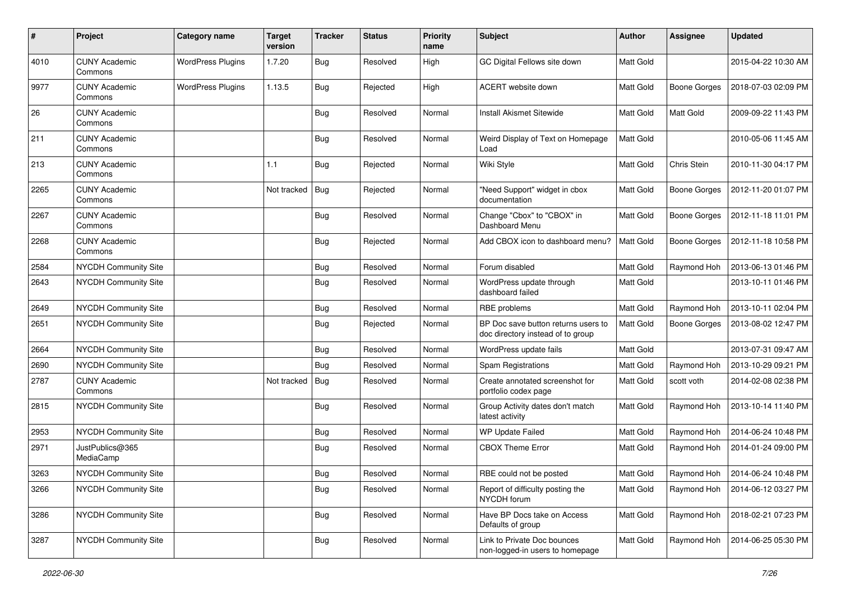| #    | Project                         | <b>Category name</b>     | <b>Target</b><br>version | <b>Tracker</b> | <b>Status</b> | <b>Priority</b><br>name | Subject                                                                  | Author           | Assignee            | <b>Updated</b>      |
|------|---------------------------------|--------------------------|--------------------------|----------------|---------------|-------------------------|--------------------------------------------------------------------------|------------------|---------------------|---------------------|
| 4010 | <b>CUNY Academic</b><br>Commons | <b>WordPress Plugins</b> | 1.7.20                   | Bug            | Resolved      | High                    | GC Digital Fellows site down                                             | Matt Gold        |                     | 2015-04-22 10:30 AM |
| 9977 | <b>CUNY Academic</b><br>Commons | <b>WordPress Plugins</b> | 1.13.5                   | <b>Bug</b>     | Rejected      | High                    | ACERT website down                                                       | Matt Gold        | <b>Boone Gorges</b> | 2018-07-03 02:09 PM |
| 26   | <b>CUNY Academic</b><br>Commons |                          |                          | <b>Bug</b>     | Resolved      | Normal                  | <b>Install Akismet Sitewide</b>                                          | Matt Gold        | Matt Gold           | 2009-09-22 11:43 PM |
| 211  | <b>CUNY Academic</b><br>Commons |                          |                          | <b>Bug</b>     | Resolved      | Normal                  | Weird Display of Text on Homepage<br>Load                                | Matt Gold        |                     | 2010-05-06 11:45 AM |
| 213  | <b>CUNY Academic</b><br>Commons |                          | 1.1                      | <b>Bug</b>     | Rejected      | Normal                  | Wiki Style                                                               | Matt Gold        | Chris Stein         | 2010-11-30 04:17 PM |
| 2265 | <b>CUNY Academic</b><br>Commons |                          | Not tracked              | Bug            | Rejected      | Normal                  | "Need Support" widget in cbox<br>documentation                           | Matt Gold        | <b>Boone Gorges</b> | 2012-11-20 01:07 PM |
| 2267 | <b>CUNY Academic</b><br>Commons |                          |                          | Bug            | Resolved      | Normal                  | Change "Cbox" to "CBOX" in<br>Dashboard Menu                             | Matt Gold        | <b>Boone Gorges</b> | 2012-11-18 11:01 PM |
| 2268 | <b>CUNY Academic</b><br>Commons |                          |                          | Bug            | Rejected      | Normal                  | Add CBOX icon to dashboard menu?                                         | Matt Gold        | <b>Boone Gorges</b> | 2012-11-18 10:58 PM |
| 2584 | <b>NYCDH Community Site</b>     |                          |                          | <b>Bug</b>     | Resolved      | Normal                  | Forum disabled                                                           | Matt Gold        | Raymond Hoh         | 2013-06-13 01:46 PM |
| 2643 | <b>NYCDH Community Site</b>     |                          |                          | Bug            | Resolved      | Normal                  | WordPress update through<br>dashboard failed                             | Matt Gold        |                     | 2013-10-11 01:46 PM |
| 2649 | <b>NYCDH Community Site</b>     |                          |                          | <b>Bug</b>     | Resolved      | Normal                  | RBE problems                                                             | Matt Gold        | Raymond Hoh         | 2013-10-11 02:04 PM |
| 2651 | NYCDH Community Site            |                          |                          | Bug            | Rejected      | Normal                  | BP Doc save button returns users to<br>doc directory instead of to group | Matt Gold        | <b>Boone Gorges</b> | 2013-08-02 12:47 PM |
| 2664 | NYCDH Community Site            |                          |                          | <b>Bug</b>     | Resolved      | Normal                  | WordPress update fails                                                   | Matt Gold        |                     | 2013-07-31 09:47 AM |
| 2690 | NYCDH Community Site            |                          |                          | Bug            | Resolved      | Normal                  | Spam Registrations                                                       | Matt Gold        | Raymond Hoh         | 2013-10-29 09:21 PM |
| 2787 | <b>CUNY Academic</b><br>Commons |                          | Not tracked   Bug        |                | Resolved      | Normal                  | Create annotated screenshot for<br>portfolio codex page                  | Matt Gold        | scott voth          | 2014-02-08 02:38 PM |
| 2815 | <b>NYCDH Community Site</b>     |                          |                          | Bug            | Resolved      | Normal                  | Group Activity dates don't match<br>latest activity                      | Matt Gold        | Raymond Hoh         | 2013-10-14 11:40 PM |
| 2953 | NYCDH Community Site            |                          |                          | <b>Bug</b>     | Resolved      | Normal                  | <b>WP Update Failed</b>                                                  | Matt Gold        | Raymond Hoh         | 2014-06-24 10:48 PM |
| 2971 | JustPublics@365<br>MediaCamp    |                          |                          | <b>Bug</b>     | Resolved      | Normal                  | <b>CBOX Theme Error</b>                                                  | Matt Gold        | Raymond Hoh         | 2014-01-24 09:00 PM |
| 3263 | NYCDH Community Site            |                          |                          | Bug            | Resolved      | Normal                  | RBE could not be posted                                                  | <b>Matt Gold</b> | Raymond Hoh         | 2014-06-24 10:48 PM |
| 3266 | <b>NYCDH Community Site</b>     |                          |                          | Bug            | Resolved      | Normal                  | Report of difficulty posting the<br>NYCDH forum                          | Matt Gold        | Raymond Hoh         | 2014-06-12 03:27 PM |
| 3286 | NYCDH Community Site            |                          |                          | <b>Bug</b>     | Resolved      | Normal                  | Have BP Docs take on Access<br>Defaults of group                         | Matt Gold        | Raymond Hoh         | 2018-02-21 07:23 PM |
| 3287 | <b>NYCDH Community Site</b>     |                          |                          | Bug            | Resolved      | Normal                  | Link to Private Doc bounces<br>non-logged-in users to homepage           | Matt Gold        | Raymond Hoh         | 2014-06-25 05:30 PM |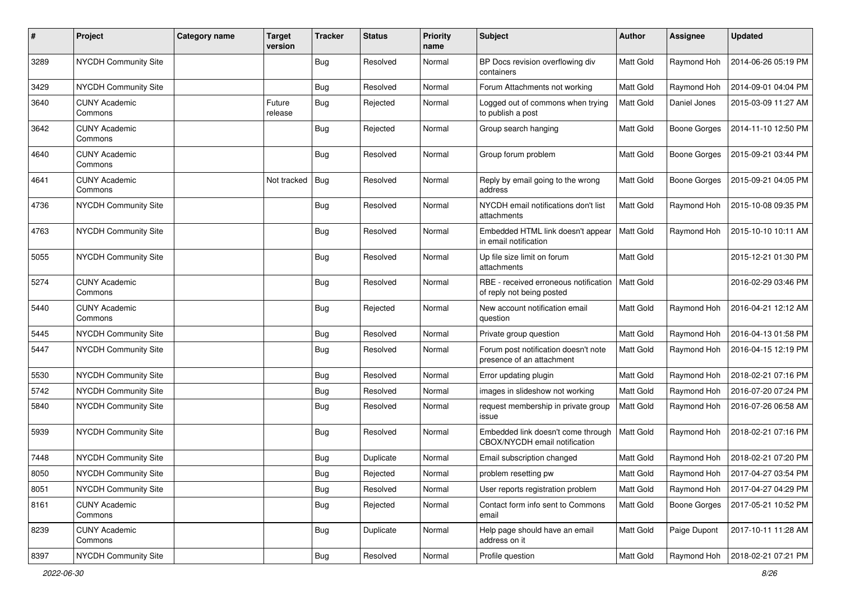| $\pmb{\#}$ | Project                         | Category name | <b>Target</b><br>version | <b>Tracker</b> | <b>Status</b> | <b>Priority</b><br>name | Subject                                                             | Author           | Assignee            | <b>Updated</b>      |
|------------|---------------------------------|---------------|--------------------------|----------------|---------------|-------------------------|---------------------------------------------------------------------|------------------|---------------------|---------------------|
| 3289       | NYCDH Community Site            |               |                          | Bug            | Resolved      | Normal                  | BP Docs revision overflowing div<br>containers                      | Matt Gold        | Raymond Hoh         | 2014-06-26 05:19 PM |
| 3429       | NYCDH Community Site            |               |                          | <b>Bug</b>     | Resolved      | Normal                  | Forum Attachments not working                                       | Matt Gold        | Raymond Hoh         | 2014-09-01 04:04 PM |
| 3640       | <b>CUNY Academic</b><br>Commons |               | Future<br>release        | <b>Bug</b>     | Rejected      | Normal                  | Logged out of commons when trying<br>to publish a post              | <b>Matt Gold</b> | Daniel Jones        | 2015-03-09 11:27 AM |
| 3642       | <b>CUNY Academic</b><br>Commons |               |                          | Bug            | Rejected      | Normal                  | Group search hanging                                                | Matt Gold        | Boone Gorges        | 2014-11-10 12:50 PM |
| 4640       | <b>CUNY Academic</b><br>Commons |               |                          | Bug            | Resolved      | Normal                  | Group forum problem                                                 | Matt Gold        | <b>Boone Gorges</b> | 2015-09-21 03:44 PM |
| 4641       | <b>CUNY Academic</b><br>Commons |               | Not tracked              | Bug            | Resolved      | Normal                  | Reply by email going to the wrong<br>address                        | Matt Gold        | Boone Gorges        | 2015-09-21 04:05 PM |
| 4736       | NYCDH Community Site            |               |                          | Bug            | Resolved      | Normal                  | NYCDH email notifications don't list<br>attachments                 | <b>Matt Gold</b> | Raymond Hoh         | 2015-10-08 09:35 PM |
| 4763       | NYCDH Community Site            |               |                          | <b>Bug</b>     | Resolved      | Normal                  | Embedded HTML link doesn't appear<br>in email notification          | <b>Matt Gold</b> | Raymond Hoh         | 2015-10-10 10:11 AM |
| 5055       | NYCDH Community Site            |               |                          | Bug            | Resolved      | Normal                  | Up file size limit on forum<br>attachments                          | <b>Matt Gold</b> |                     | 2015-12-21 01:30 PM |
| 5274       | <b>CUNY Academic</b><br>Commons |               |                          | Bug            | Resolved      | Normal                  | RBE - received erroneous notification<br>of reply not being posted  | Matt Gold        |                     | 2016-02-29 03:46 PM |
| 5440       | <b>CUNY Academic</b><br>Commons |               |                          | Bug            | Rejected      | Normal                  | New account notification email<br>question                          | Matt Gold        | Raymond Hoh         | 2016-04-21 12:12 AM |
| 5445       | <b>NYCDH Community Site</b>     |               |                          | Bug            | Resolved      | Normal                  | Private group question                                              | Matt Gold        | Raymond Hoh         | 2016-04-13 01:58 PM |
| 5447       | NYCDH Community Site            |               |                          | Bug            | Resolved      | Normal                  | Forum post notification doesn't note<br>presence of an attachment   | <b>Matt Gold</b> | Raymond Hoh         | 2016-04-15 12:19 PM |
| 5530       | NYCDH Community Site            |               |                          | Bug            | Resolved      | Normal                  | Error updating plugin                                               | Matt Gold        | Raymond Hoh         | 2018-02-21 07:16 PM |
| 5742       | NYCDH Community Site            |               |                          | <b>Bug</b>     | Resolved      | Normal                  | images in slideshow not working                                     | Matt Gold        | Raymond Hoh         | 2016-07-20 07:24 PM |
| 5840       | NYCDH Community Site            |               |                          | <b>Bug</b>     | Resolved      | Normal                  | request membership in private group<br>issue                        | Matt Gold        | Raymond Hoh         | 2016-07-26 06:58 AM |
| 5939       | NYCDH Community Site            |               |                          | <b>Bug</b>     | Resolved      | Normal                  | Embedded link doesn't come through<br>CBOX/NYCDH email notification | <b>Matt Gold</b> | Raymond Hoh         | 2018-02-21 07:16 PM |
| 7448       | NYCDH Community Site            |               |                          | <b>Bug</b>     | Duplicate     | Normal                  | Email subscription changed                                          | Matt Gold        | Raymond Hoh         | 2018-02-21 07:20 PM |
| 8050       | NYCDH Community Site            |               |                          | Bug            | Rejected      | Normal                  | problem resetting pw                                                | Matt Gold        | Raymond Hoh         | 2017-04-27 03:54 PM |
| 8051       | NYCDH Community Site            |               |                          | Bug            | Resolved      | Normal                  | User reports registration problem                                   | <b>Matt Gold</b> | Raymond Hoh         | 2017-04-27 04:29 PM |
| 8161       | <b>CUNY Academic</b><br>Commons |               |                          | <b>Bug</b>     | Rejected      | Normal                  | Contact form info sent to Commons<br>email                          | Matt Gold        | <b>Boone Gorges</b> | 2017-05-21 10:52 PM |
| 8239       | <b>CUNY Academic</b><br>Commons |               |                          | <b>Bug</b>     | Duplicate     | Normal                  | Help page should have an email<br>address on it                     | Matt Gold        | Paige Dupont        | 2017-10-11 11:28 AM |
| 8397       | NYCDH Community Site            |               |                          | Bug            | Resolved      | Normal                  | Profile question                                                    | Matt Gold        | Raymond Hoh         | 2018-02-21 07:21 PM |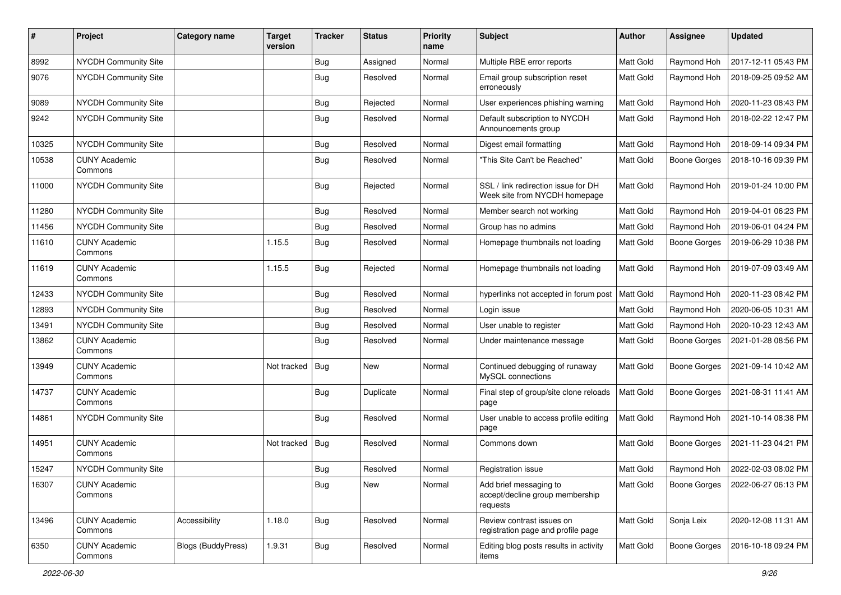| #     | Project                         | <b>Category name</b>      | <b>Target</b><br>version | <b>Tracker</b> | <b>Status</b> | <b>Priority</b><br>name | Subject                                                               | <b>Author</b> | <b>Assignee</b>     | <b>Updated</b>      |
|-------|---------------------------------|---------------------------|--------------------------|----------------|---------------|-------------------------|-----------------------------------------------------------------------|---------------|---------------------|---------------------|
| 8992  | NYCDH Community Site            |                           |                          | <b>Bug</b>     | Assigned      | Normal                  | Multiple RBE error reports                                            | Matt Gold     | Raymond Hoh         | 2017-12-11 05:43 PM |
| 9076  | NYCDH Community Site            |                           |                          | Bug            | Resolved      | Normal                  | Email group subscription reset<br>erroneously                         | Matt Gold     | Raymond Hoh         | 2018-09-25 09:52 AM |
| 9089  | NYCDH Community Site            |                           |                          | Bug            | Rejected      | Normal                  | User experiences phishing warning                                     | Matt Gold     | Raymond Hoh         | 2020-11-23 08:43 PM |
| 9242  | <b>NYCDH Community Site</b>     |                           |                          | Bug            | Resolved      | Normal                  | Default subscription to NYCDH<br>Announcements group                  | Matt Gold     | Raymond Hoh         | 2018-02-22 12:47 PM |
| 10325 | NYCDH Community Site            |                           |                          | Bug            | Resolved      | Normal                  | Digest email formatting                                               | Matt Gold     | Raymond Hoh         | 2018-09-14 09:34 PM |
| 10538 | <b>CUNY Academic</b><br>Commons |                           |                          | Bug            | Resolved      | Normal                  | "This Site Can't be Reached"                                          | Matt Gold     | Boone Gorges        | 2018-10-16 09:39 PM |
| 11000 | NYCDH Community Site            |                           |                          | Bug            | Rejected      | Normal                  | SSL / link redirection issue for DH<br>Week site from NYCDH homepage  | Matt Gold     | Raymond Hoh         | 2019-01-24 10:00 PM |
| 11280 | NYCDH Community Site            |                           |                          | <b>Bug</b>     | Resolved      | Normal                  | Member search not working                                             | Matt Gold     | Raymond Hoh         | 2019-04-01 06:23 PM |
| 11456 | NYCDH Community Site            |                           |                          | Bug            | Resolved      | Normal                  | Group has no admins                                                   | Matt Gold     | Raymond Hoh         | 2019-06-01 04:24 PM |
| 11610 | <b>CUNY Academic</b><br>Commons |                           | 1.15.5                   | Bug            | Resolved      | Normal                  | Homepage thumbnails not loading                                       | Matt Gold     | <b>Boone Gorges</b> | 2019-06-29 10:38 PM |
| 11619 | <b>CUNY Academic</b><br>Commons |                           | 1.15.5                   | Bug            | Rejected      | Normal                  | Homepage thumbnails not loading                                       | Matt Gold     | Raymond Hoh         | 2019-07-09 03:49 AM |
| 12433 | NYCDH Community Site            |                           |                          | Bug            | Resolved      | Normal                  | hyperlinks not accepted in forum post                                 | Matt Gold     | Raymond Hoh         | 2020-11-23 08:42 PM |
| 12893 | NYCDH Community Site            |                           |                          | <b>Bug</b>     | Resolved      | Normal                  | Login issue                                                           | Matt Gold     | Raymond Hoh         | 2020-06-05 10:31 AM |
| 13491 | NYCDH Community Site            |                           |                          | <b>Bug</b>     | Resolved      | Normal                  | User unable to register                                               | Matt Gold     | Raymond Hoh         | 2020-10-23 12:43 AM |
| 13862 | <b>CUNY Academic</b><br>Commons |                           |                          | Bug            | Resolved      | Normal                  | Under maintenance message                                             | Matt Gold     | Boone Gorges        | 2021-01-28 08:56 PM |
| 13949 | <b>CUNY Academic</b><br>Commons |                           | Not tracked              | Bug            | <b>New</b>    | Normal                  | Continued debugging of runaway<br>MySQL connections                   | Matt Gold     | Boone Gorges        | 2021-09-14 10:42 AM |
| 14737 | <b>CUNY Academic</b><br>Commons |                           |                          | Bug            | Duplicate     | Normal                  | Final step of group/site clone reloads<br>page                        | Matt Gold     | <b>Boone Gorges</b> | 2021-08-31 11:41 AM |
| 14861 | <b>NYCDH Community Site</b>     |                           |                          | Bug            | Resolved      | Normal                  | User unable to access profile editing<br>page                         | Matt Gold     | Raymond Hoh         | 2021-10-14 08:38 PM |
| 14951 | <b>CUNY Academic</b><br>Commons |                           | Not tracked              | Bug            | Resolved      | Normal                  | Commons down                                                          | Matt Gold     | Boone Gorges        | 2021-11-23 04:21 PM |
| 15247 | NYCDH Community Site            |                           |                          | Bug            | Resolved      | Normal                  | Registration issue                                                    | Matt Gold     | Raymond Hoh         | 2022-02-03 08:02 PM |
| 16307 | <b>CUNY Academic</b><br>Commons |                           |                          | <b>Bug</b>     | New           | Normal                  | Add brief messaging to<br>accept/decline group membership<br>requests | Matt Gold     | Boone Gorges        | 2022-06-27 06:13 PM |
| 13496 | <b>CUNY Academic</b><br>Commons | Accessibility             | 1.18.0                   | <b>Bug</b>     | Resolved      | Normal                  | Review contrast issues on<br>registration page and profile page       | Matt Gold     | Sonja Leix          | 2020-12-08 11:31 AM |
| 6350  | <b>CUNY Academic</b><br>Commons | <b>Blogs (BuddyPress)</b> | 1.9.31                   | <b>Bug</b>     | Resolved      | Normal                  | Editing blog posts results in activity<br>items                       | Matt Gold     | Boone Gorges        | 2016-10-18 09:24 PM |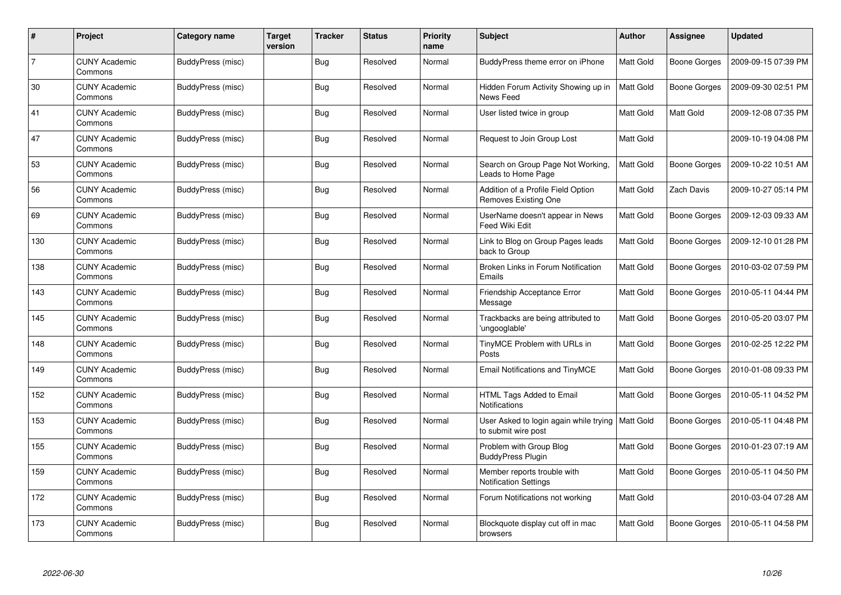| #              | Project                         | Category name     | <b>Target</b><br>version | <b>Tracker</b> | <b>Status</b> | <b>Priority</b><br>name | <b>Subject</b>                                                | <b>Author</b>    | Assignee            | <b>Updated</b>      |
|----------------|---------------------------------|-------------------|--------------------------|----------------|---------------|-------------------------|---------------------------------------------------------------|------------------|---------------------|---------------------|
| $\overline{7}$ | <b>CUNY Academic</b><br>Commons | BuddyPress (misc) |                          | <b>Bug</b>     | Resolved      | Normal                  | BuddyPress theme error on iPhone                              | Matt Gold        | <b>Boone Gorges</b> | 2009-09-15 07:39 PM |
| 30             | <b>CUNY Academic</b><br>Commons | BuddyPress (misc) |                          | Bug            | Resolved      | Normal                  | Hidden Forum Activity Showing up in<br>News Feed              | <b>Matt Gold</b> | Boone Gorges        | 2009-09-30 02:51 PM |
| 41             | <b>CUNY Academic</b><br>Commons | BuddyPress (misc) |                          | <b>Bug</b>     | Resolved      | Normal                  | User listed twice in group                                    | Matt Gold        | Matt Gold           | 2009-12-08 07:35 PM |
| 47             | <b>CUNY Academic</b><br>Commons | BuddyPress (misc) |                          | <b>Bug</b>     | Resolved      | Normal                  | Request to Join Group Lost                                    | Matt Gold        |                     | 2009-10-19 04:08 PM |
| 53             | <b>CUNY Academic</b><br>Commons | BuddyPress (misc) |                          | Bug            | Resolved      | Normal                  | Search on Group Page Not Working,<br>Leads to Home Page       | Matt Gold        | Boone Gorges        | 2009-10-22 10:51 AM |
| 56             | <b>CUNY Academic</b><br>Commons | BuddyPress (misc) |                          | Bug            | Resolved      | Normal                  | Addition of a Profile Field Option<br>Removes Existing One    | Matt Gold        | Zach Davis          | 2009-10-27 05:14 PM |
| 69             | <b>CUNY Academic</b><br>Commons | BuddyPress (misc) |                          | <b>Bug</b>     | Resolved      | Normal                  | UserName doesn't appear in News<br>Feed Wiki Edit             | Matt Gold        | Boone Gorges        | 2009-12-03 09:33 AM |
| 130            | <b>CUNY Academic</b><br>Commons | BuddyPress (misc) |                          | Bug            | Resolved      | Normal                  | Link to Blog on Group Pages leads<br>back to Group            | Matt Gold        | Boone Gorges        | 2009-12-10 01:28 PM |
| 138            | <b>CUNY Academic</b><br>Commons | BuddyPress (misc) |                          | <b>Bug</b>     | Resolved      | Normal                  | Broken Links in Forum Notification<br>Emails                  | Matt Gold        | Boone Gorges        | 2010-03-02 07:59 PM |
| 143            | <b>CUNY Academic</b><br>Commons | BuddyPress (misc) |                          | <b>Bug</b>     | Resolved      | Normal                  | Friendship Acceptance Error<br>Message                        | Matt Gold        | Boone Gorges        | 2010-05-11 04:44 PM |
| 145            | <b>CUNY Academic</b><br>Commons | BuddyPress (misc) |                          | Bug            | Resolved      | Normal                  | Trackbacks are being attributed to<br>'ungooglable'           | Matt Gold        | Boone Gorges        | 2010-05-20 03:07 PM |
| 148            | <b>CUNY Academic</b><br>Commons | BuddyPress (misc) |                          | <b>Bug</b>     | Resolved      | Normal                  | TinyMCE Problem with URLs in<br>Posts                         | Matt Gold        | Boone Gorges        | 2010-02-25 12:22 PM |
| 149            | <b>CUNY Academic</b><br>Commons | BuddyPress (misc) |                          | Bug            | Resolved      | Normal                  | <b>Email Notifications and TinyMCE</b>                        | Matt Gold        | Boone Gorges        | 2010-01-08 09:33 PM |
| 152            | <b>CUNY Academic</b><br>Commons | BuddyPress (misc) |                          | <b>Bug</b>     | Resolved      | Normal                  | HTML Tags Added to Email<br>Notifications                     | Matt Gold        | Boone Gorges        | 2010-05-11 04:52 PM |
| 153            | <b>CUNY Academic</b><br>Commons | BuddyPress (misc) |                          | <b>Bug</b>     | Resolved      | Normal                  | User Asked to login again while trying<br>to submit wire post | <b>Matt Gold</b> | Boone Gorges        | 2010-05-11 04:48 PM |
| 155            | <b>CUNY Academic</b><br>Commons | BuddyPress (misc) |                          | Bug            | Resolved      | Normal                  | Problem with Group Blog<br><b>BuddyPress Plugin</b>           | Matt Gold        | Boone Gorges        | 2010-01-23 07:19 AM |
| 159            | <b>CUNY Academic</b><br>Commons | BuddyPress (misc) |                          | Bug            | Resolved      | Normal                  | Member reports trouble with<br><b>Notification Settings</b>   | Matt Gold        | Boone Gorges        | 2010-05-11 04:50 PM |
| 172            | <b>CUNY Academic</b><br>Commons | BuddyPress (misc) |                          | <b>Bug</b>     | Resolved      | Normal                  | Forum Notifications not working                               | Matt Gold        |                     | 2010-03-04 07:28 AM |
| 173            | <b>CUNY Academic</b><br>Commons | BuddyPress (misc) |                          | <b>Bug</b>     | Resolved      | Normal                  | Blockquote display cut off in mac<br>browsers                 | Matt Gold        | Boone Gorges        | 2010-05-11 04:58 PM |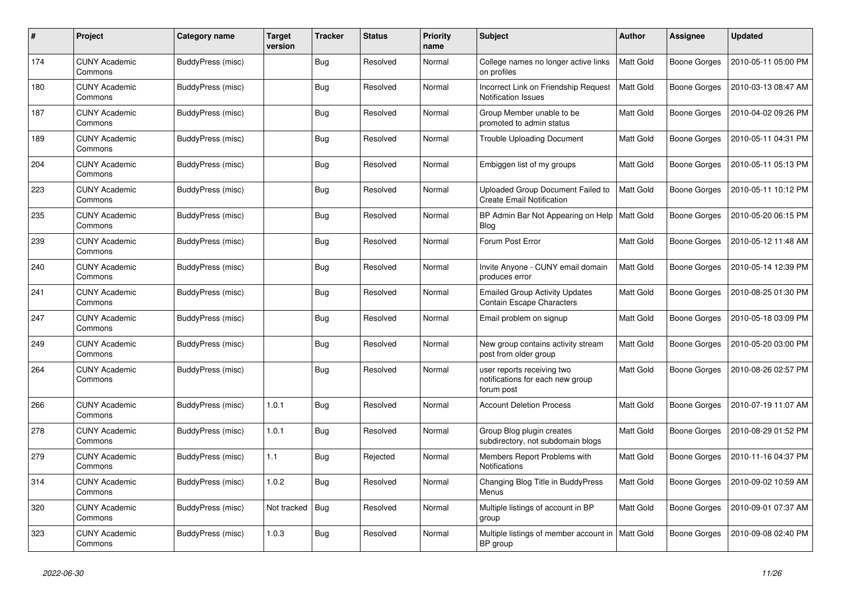| #   | Project                         | Category name     | <b>Target</b><br>version | <b>Tracker</b> | <b>Status</b> | <b>Priority</b><br>name | <b>Subject</b>                                                               | <b>Author</b> | Assignee     | <b>Updated</b>      |
|-----|---------------------------------|-------------------|--------------------------|----------------|---------------|-------------------------|------------------------------------------------------------------------------|---------------|--------------|---------------------|
| 174 | <b>CUNY Academic</b><br>Commons | BuddyPress (misc) |                          | <b>Bug</b>     | Resolved      | Normal                  | College names no longer active links<br>on profiles                          | Matt Gold     | Boone Gorges | 2010-05-11 05:00 PM |
| 180 | <b>CUNY Academic</b><br>Commons | BuddyPress (misc) |                          | <b>Bug</b>     | Resolved      | Normal                  | Incorrect Link on Friendship Request<br><b>Notification Issues</b>           | Matt Gold     | Boone Gorges | 2010-03-13 08:47 AM |
| 187 | <b>CUNY Academic</b><br>Commons | BuddyPress (misc) |                          | <b>Bug</b>     | Resolved      | Normal                  | Group Member unable to be<br>promoted to admin status                        | Matt Gold     | Boone Gorges | 2010-04-02 09:26 PM |
| 189 | <b>CUNY Academic</b><br>Commons | BuddyPress (misc) |                          | <b>Bug</b>     | Resolved      | Normal                  | <b>Trouble Uploading Document</b>                                            | Matt Gold     | Boone Gorges | 2010-05-11 04:31 PM |
| 204 | <b>CUNY Academic</b><br>Commons | BuddyPress (misc) |                          | Bug            | Resolved      | Normal                  | Embiggen list of my groups                                                   | Matt Gold     | Boone Gorges | 2010-05-11 05:13 PM |
| 223 | <b>CUNY Academic</b><br>Commons | BuddyPress (misc) |                          | <b>Bug</b>     | Resolved      | Normal                  | Uploaded Group Document Failed to<br><b>Create Email Notification</b>        | Matt Gold     | Boone Gorges | 2010-05-11 10:12 PM |
| 235 | <b>CUNY Academic</b><br>Commons | BuddyPress (misc) |                          | <b>Bug</b>     | Resolved      | Normal                  | BP Admin Bar Not Appearing on Help<br>Blog                                   | Matt Gold     | Boone Gorges | 2010-05-20 06:15 PM |
| 239 | <b>CUNY Academic</b><br>Commons | BuddyPress (misc) |                          | Bug            | Resolved      | Normal                  | Forum Post Error                                                             | Matt Gold     | Boone Gorges | 2010-05-12 11:48 AM |
| 240 | <b>CUNY Academic</b><br>Commons | BuddyPress (misc) |                          | <b>Bug</b>     | Resolved      | Normal                  | Invite Anyone - CUNY email domain<br>produces error                          | Matt Gold     | Boone Gorges | 2010-05-14 12:39 PM |
| 241 | <b>CUNY Academic</b><br>Commons | BuddyPress (misc) |                          | Bug            | Resolved      | Normal                  | <b>Emailed Group Activity Updates</b><br>Contain Escape Characters           | Matt Gold     | Boone Gorges | 2010-08-25 01:30 PM |
| 247 | <b>CUNY Academic</b><br>Commons | BuddyPress (misc) |                          | Bug            | Resolved      | Normal                  | Email problem on signup                                                      | Matt Gold     | Boone Gorges | 2010-05-18 03:09 PM |
| 249 | <b>CUNY Academic</b><br>Commons | BuddyPress (misc) |                          | Bug            | Resolved      | Normal                  | New group contains activity stream<br>post from older group                  | Matt Gold     | Boone Gorges | 2010-05-20 03:00 PM |
| 264 | <b>CUNY Academic</b><br>Commons | BuddyPress (misc) |                          | Bug            | Resolved      | Normal                  | user reports receiving two<br>notifications for each new group<br>forum post | Matt Gold     | Boone Gorges | 2010-08-26 02:57 PM |
| 266 | <b>CUNY Academic</b><br>Commons | BuddyPress (misc) | 1.0.1                    | <b>Bug</b>     | Resolved      | Normal                  | <b>Account Deletion Process</b>                                              | Matt Gold     | Boone Gorges | 2010-07-19 11:07 AM |
| 278 | <b>CUNY Academic</b><br>Commons | BuddyPress (misc) | 1.0.1                    | Bug            | Resolved      | Normal                  | Group Blog plugin creates<br>subdirectory, not subdomain blogs               | Matt Gold     | Boone Gorges | 2010-08-29 01:52 PM |
| 279 | <b>CUNY Academic</b><br>Commons | BuddyPress (misc) | 1.1                      | <b>Bug</b>     | Rejected      | Normal                  | Members Report Problems with<br><b>Notifications</b>                         | Matt Gold     | Boone Gorges | 2010-11-16 04:37 PM |
| 314 | <b>CUNY Academic</b><br>Commons | BuddyPress (misc) | 1.0.2                    | <b>Bug</b>     | Resolved      | Normal                  | Changing Blog Title in BuddyPress<br>Menus                                   | Matt Gold     | Boone Gorges | 2010-09-02 10:59 AM |
| 320 | <b>CUNY Academic</b><br>Commons | BuddyPress (misc) | Not tracked              | Bug            | Resolved      | Normal                  | Multiple listings of account in BP<br>group                                  | Matt Gold     | Boone Gorges | 2010-09-01 07:37 AM |
| 323 | <b>CUNY Academic</b><br>Commons | BuddyPress (misc) | 1.0.3                    | <b>Bug</b>     | Resolved      | Normal                  | Multiple listings of member account in   Matt Gold<br>BP group               |               | Boone Gorges | 2010-09-08 02:40 PM |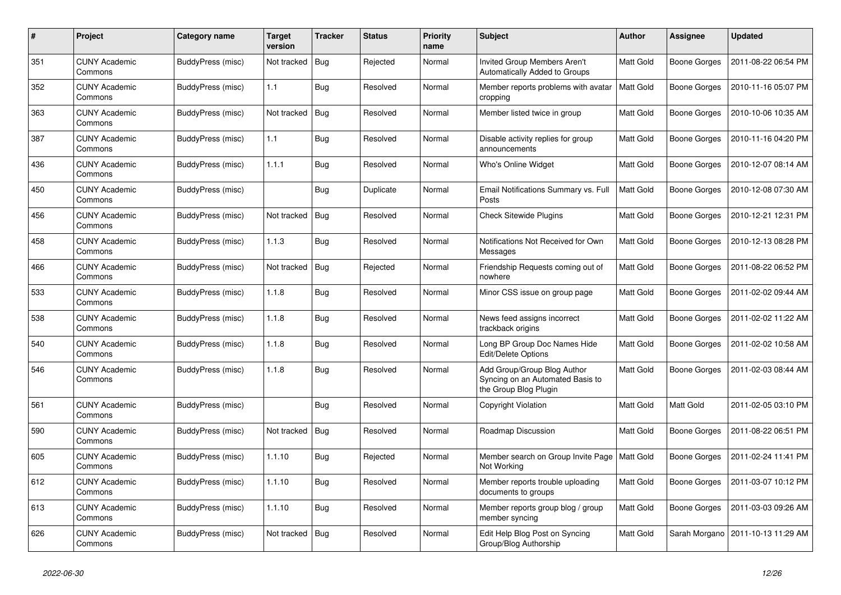| #   | Project                         | Category name     | <b>Target</b><br>version | <b>Tracker</b> | <b>Status</b> | <b>Priority</b><br>name | <b>Subject</b>                                                                           | <b>Author</b> | Assignee            | <b>Updated</b>      |
|-----|---------------------------------|-------------------|--------------------------|----------------|---------------|-------------------------|------------------------------------------------------------------------------------------|---------------|---------------------|---------------------|
| 351 | <b>CUNY Academic</b><br>Commons | BuddyPress (misc) | Not tracked              | Bug            | Rejected      | Normal                  | Invited Group Members Aren't<br>Automatically Added to Groups                            | Matt Gold     | Boone Gorges        | 2011-08-22 06:54 PM |
| 352 | <b>CUNY Academic</b><br>Commons | BuddyPress (misc) | 1.1                      | <b>Bug</b>     | Resolved      | Normal                  | Member reports problems with avatar<br>cropping                                          | Matt Gold     | <b>Boone Gorges</b> | 2010-11-16 05:07 PM |
| 363 | <b>CUNY Academic</b><br>Commons | BuddyPress (misc) | Not tracked              | Bug            | Resolved      | Normal                  | Member listed twice in group                                                             | Matt Gold     | Boone Gorges        | 2010-10-06 10:35 AM |
| 387 | <b>CUNY Academic</b><br>Commons | BuddyPress (misc) | 1.1                      | <b>Bug</b>     | Resolved      | Normal                  | Disable activity replies for group<br>announcements                                      | Matt Gold     | Boone Gorges        | 2010-11-16 04:20 PM |
| 436 | <b>CUNY Academic</b><br>Commons | BuddyPress (misc) | 1.1.1                    | Bug            | Resolved      | Normal                  | Who's Online Widget                                                                      | Matt Gold     | Boone Gorges        | 2010-12-07 08:14 AM |
| 450 | <b>CUNY Academic</b><br>Commons | BuddyPress (misc) |                          | <b>Bug</b>     | Duplicate     | Normal                  | Email Notifications Summary vs. Full<br>Posts                                            | Matt Gold     | Boone Gorges        | 2010-12-08 07:30 AM |
| 456 | <b>CUNY Academic</b><br>Commons | BuddyPress (misc) | Not tracked              | Bug            | Resolved      | Normal                  | <b>Check Sitewide Plugins</b>                                                            | Matt Gold     | Boone Gorges        | 2010-12-21 12:31 PM |
| 458 | <b>CUNY Academic</b><br>Commons | BuddyPress (misc) | 1.1.3                    | Bug            | Resolved      | Normal                  | Notifications Not Received for Own<br>Messages                                           | Matt Gold     | Boone Gorges        | 2010-12-13 08:28 PM |
| 466 | CUNY Academic<br>Commons        | BuddyPress (misc) | Not tracked              | <b>Bug</b>     | Rejected      | Normal                  | Friendship Requests coming out of<br>nowhere                                             | Matt Gold     | <b>Boone Gorges</b> | 2011-08-22 06:52 PM |
| 533 | <b>CUNY Academic</b><br>Commons | BuddyPress (misc) | 1.1.8                    | <b>Bug</b>     | Resolved      | Normal                  | Minor CSS issue on group page                                                            | Matt Gold     | Boone Gorges        | 2011-02-02 09:44 AM |
| 538 | CUNY Academic<br>Commons        | BuddyPress (misc) | 1.1.8                    | <b>Bug</b>     | Resolved      | Normal                  | News feed assigns incorrect<br>trackback origins                                         | Matt Gold     | Boone Gorges        | 2011-02-02 11:22 AM |
| 540 | <b>CUNY Academic</b><br>Commons | BuddyPress (misc) | 1.1.8                    | <b>Bug</b>     | Resolved      | Normal                  | Long BP Group Doc Names Hide<br>Edit/Delete Options                                      | Matt Gold     | Boone Gorges        | 2011-02-02 10:58 AM |
| 546 | <b>CUNY Academic</b><br>Commons | BuddyPress (misc) | 1.1.8                    | <b>Bug</b>     | Resolved      | Normal                  | Add Group/Group Blog Author<br>Syncing on an Automated Basis to<br>the Group Blog Plugin | Matt Gold     | Boone Gorges        | 2011-02-03 08:44 AM |
| 561 | <b>CUNY Academic</b><br>Commons | BuddyPress (misc) |                          | Bug            | Resolved      | Normal                  | <b>Copyright Violation</b>                                                               | Matt Gold     | Matt Gold           | 2011-02-05 03:10 PM |
| 590 | <b>CUNY Academic</b><br>Commons | BuddyPress (misc) | Not tracked              | Bug            | Resolved      | Normal                  | Roadmap Discussion                                                                       | Matt Gold     | Boone Gorges        | 2011-08-22 06:51 PM |
| 605 | <b>CUNY Academic</b><br>Commons | BuddyPress (misc) | 1.1.10                   | Bug            | Rejected      | Normal                  | Member search on Group Invite Page   Matt Gold<br>Not Working                            |               | Boone Gorges        | 2011-02-24 11:41 PM |
| 612 | <b>CUNY Academic</b><br>Commons | BuddyPress (misc) | 1.1.10                   | <b>Bug</b>     | Resolved      | Normal                  | Member reports trouble uploading<br>documents to groups                                  | Matt Gold     | Boone Gorges        | 2011-03-07 10:12 PM |
| 613 | <b>CUNY Academic</b><br>Commons | BuddyPress (misc) | 1.1.10                   | Bug            | Resolved      | Normal                  | Member reports group blog / group<br>member syncing                                      | Matt Gold     | Boone Gorges        | 2011-03-03 09:26 AM |
| 626 | <b>CUNY Academic</b><br>Commons | BuddyPress (misc) | Not tracked   Bug        |                | Resolved      | Normal                  | Edit Help Blog Post on Syncing<br>Group/Blog Authorship                                  | Matt Gold     | Sarah Morgano       | 2011-10-13 11:29 AM |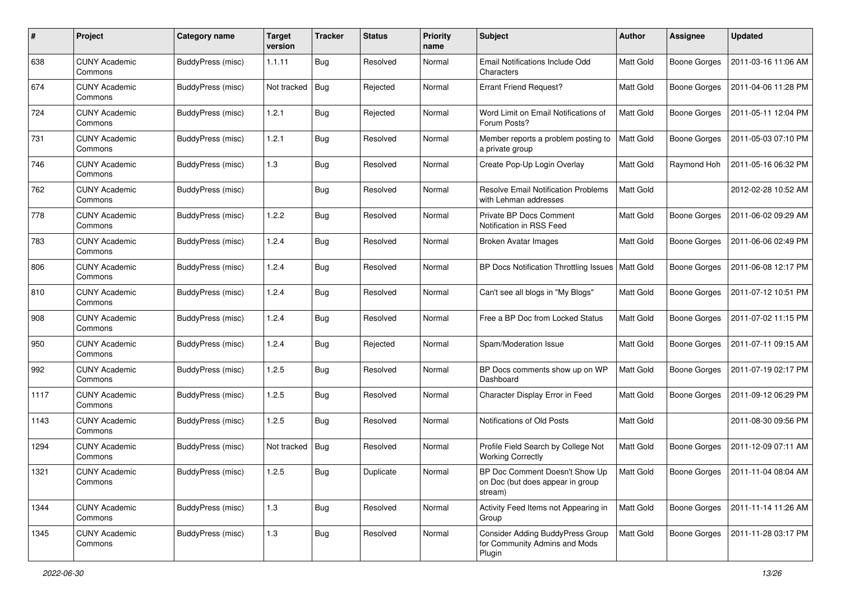| #    | Project                         | <b>Category name</b>     | <b>Target</b><br>version | <b>Tracker</b> | <b>Status</b> | <b>Priority</b><br>name | Subject                                                                            | Author           | <b>Assignee</b>     | <b>Updated</b>      |
|------|---------------------------------|--------------------------|--------------------------|----------------|---------------|-------------------------|------------------------------------------------------------------------------------|------------------|---------------------|---------------------|
| 638  | <b>CUNY Academic</b><br>Commons | BuddyPress (misc)        | 1.1.11                   | <b>Bug</b>     | Resolved      | Normal                  | Email Notifications Include Odd<br>Characters                                      | Matt Gold        | <b>Boone Gorges</b> | 2011-03-16 11:06 AM |
| 674  | <b>CUNY Academic</b><br>Commons | BuddyPress (misc)        | Not tracked              | Bug            | Rejected      | Normal                  | <b>Errant Friend Request?</b>                                                      | Matt Gold        | <b>Boone Gorges</b> | 2011-04-06 11:28 PM |
| 724  | <b>CUNY Academic</b><br>Commons | BuddyPress (misc)        | 1.2.1                    | <b>Bug</b>     | Rejected      | Normal                  | Word Limit on Email Notifications of<br>Forum Posts?                               | Matt Gold        | Boone Gorges        | 2011-05-11 12:04 PM |
| 731  | <b>CUNY Academic</b><br>Commons | BuddyPress (misc)        | 1.2.1                    | <b>Bug</b>     | Resolved      | Normal                  | Member reports a problem posting to<br>a private group                             | Matt Gold        | <b>Boone Gorges</b> | 2011-05-03 07:10 PM |
| 746  | <b>CUNY Academic</b><br>Commons | BuddyPress (misc)        | 1.3                      | <b>Bug</b>     | Resolved      | Normal                  | Create Pop-Up Login Overlay                                                        | <b>Matt Gold</b> | Raymond Hoh         | 2011-05-16 06:32 PM |
| 762  | <b>CUNY Academic</b><br>Commons | BuddyPress (misc)        |                          | <b>Bug</b>     | Resolved      | Normal                  | <b>Resolve Email Notification Problems</b><br>with Lehman addresses                | Matt Gold        |                     | 2012-02-28 10:52 AM |
| 778  | <b>CUNY Academic</b><br>Commons | BuddyPress (misc)        | 1.2.2                    | <b>Bug</b>     | Resolved      | Normal                  | Private BP Docs Comment<br>Notification in RSS Feed                                | Matt Gold        | <b>Boone Gorges</b> | 2011-06-02 09:29 AM |
| 783  | <b>CUNY Academic</b><br>Commons | <b>BuddyPress (misc)</b> | 1.2.4                    | <b>Bug</b>     | Resolved      | Normal                  | <b>Broken Avatar Images</b>                                                        | Matt Gold        | <b>Boone Gorges</b> | 2011-06-06 02:49 PM |
| 806  | <b>CUNY Academic</b><br>Commons | BuddyPress (misc)        | 1.2.4                    | Bug            | Resolved      | Normal                  | BP Docs Notification Throttling Issues   Matt Gold                                 |                  | <b>Boone Gorges</b> | 2011-06-08 12:17 PM |
| 810  | <b>CUNY Academic</b><br>Commons | BuddyPress (misc)        | 1.2.4                    | <b>Bug</b>     | Resolved      | Normal                  | Can't see all blogs in "My Blogs"                                                  | Matt Gold        | Boone Gorges        | 2011-07-12 10:51 PM |
| 908  | <b>CUNY Academic</b><br>Commons | BuddyPress (misc)        | 1.2.4                    | <b>Bug</b>     | Resolved      | Normal                  | Free a BP Doc from Locked Status                                                   | <b>Matt Gold</b> | <b>Boone Gorges</b> | 2011-07-02 11:15 PM |
| 950  | <b>CUNY Academic</b><br>Commons | BuddyPress (misc)        | 1.2.4                    | <b>Bug</b>     | Rejected      | Normal                  | Spam/Moderation Issue                                                              | <b>Matt Gold</b> | <b>Boone Gorges</b> | 2011-07-11 09:15 AM |
| 992  | <b>CUNY Academic</b><br>Commons | BuddyPress (misc)        | 1.2.5                    | <b>Bug</b>     | Resolved      | Normal                  | BP Docs comments show up on WP<br>Dashboard                                        | <b>Matt Gold</b> | <b>Boone Gorges</b> | 2011-07-19 02:17 PM |
| 1117 | <b>CUNY Academic</b><br>Commons | BuddyPress (misc)        | 1.2.5                    | Bug            | Resolved      | Normal                  | Character Display Error in Feed                                                    | Matt Gold        | <b>Boone Gorges</b> | 2011-09-12 06:29 PM |
| 1143 | <b>CUNY Academic</b><br>Commons | BuddyPress (misc)        | 1.2.5                    | Bug            | Resolved      | Normal                  | Notifications of Old Posts                                                         | Matt Gold        |                     | 2011-08-30 09:56 PM |
| 1294 | <b>CUNY Academic</b><br>Commons | BuddyPress (misc)        | Not tracked              | Bug            | Resolved      | Normal                  | Profile Field Search by College Not<br><b>Working Correctly</b>                    | Matt Gold        | <b>Boone Gorges</b> | 2011-12-09 07:11 AM |
| 1321 | <b>CUNY Academic</b><br>Commons | BuddyPress (misc)        | 1.2.5                    | Bug            | Duplicate     | Normal                  | BP Doc Comment Doesn't Show Up<br>on Doc (but does appear in group<br>stream)      | <b>Matt Gold</b> | Boone Gorges        | 2011-11-04 08:04 AM |
| 1344 | <b>CUNY Academic</b><br>Commons | BuddyPress (misc)        | 1.3                      | <b>Bug</b>     | Resolved      | Normal                  | Activity Feed Items not Appearing in<br>Group                                      | Matt Gold        | <b>Boone Gorges</b> | 2011-11-14 11:26 AM |
| 1345 | <b>CUNY Academic</b><br>Commons | BuddyPress (misc)        | 1.3                      | Bug            | Resolved      | Normal                  | <b>Consider Adding BuddyPress Group</b><br>for Community Admins and Mods<br>Plugin | Matt Gold        | Boone Gorges        | 2011-11-28 03:17 PM |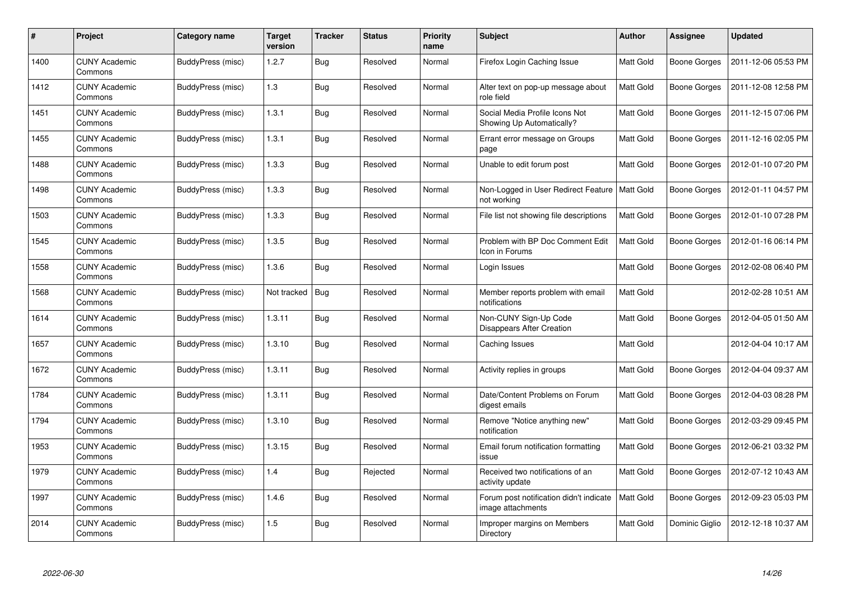| #    | Project                         | Category name     | <b>Target</b><br>version | <b>Tracker</b> | <b>Status</b> | <b>Priority</b><br>name | <b>Subject</b>                                               | Author    | Assignee            | <b>Updated</b>      |
|------|---------------------------------|-------------------|--------------------------|----------------|---------------|-------------------------|--------------------------------------------------------------|-----------|---------------------|---------------------|
| 1400 | <b>CUNY Academic</b><br>Commons | BuddyPress (misc) | 1.2.7                    | <b>Bug</b>     | Resolved      | Normal                  | Firefox Login Caching Issue                                  | Matt Gold | <b>Boone Gorges</b> | 2011-12-06 05:53 PM |
| 1412 | <b>CUNY Academic</b><br>Commons | BuddyPress (misc) | 1.3                      | Bug            | Resolved      | Normal                  | Alter text on pop-up message about<br>role field             | Matt Gold | Boone Gorges        | 2011-12-08 12:58 PM |
| 1451 | <b>CUNY Academic</b><br>Commons | BuddyPress (misc) | 1.3.1                    | <b>Bug</b>     | Resolved      | Normal                  | Social Media Profile Icons Not<br>Showing Up Automatically?  | Matt Gold | <b>Boone Gorges</b> | 2011-12-15 07:06 PM |
| 1455 | <b>CUNY Academic</b><br>Commons | BuddyPress (misc) | 1.3.1                    | <b>Bug</b>     | Resolved      | Normal                  | Errant error message on Groups<br>page                       | Matt Gold | Boone Gorges        | 2011-12-16 02:05 PM |
| 1488 | <b>CUNY Academic</b><br>Commons | BuddyPress (misc) | 1.3.3                    | <b>Bug</b>     | Resolved      | Normal                  | Unable to edit forum post                                    | Matt Gold | <b>Boone Gorges</b> | 2012-01-10 07:20 PM |
| 1498 | <b>CUNY Academic</b><br>Commons | BuddyPress (misc) | 1.3.3                    | <b>Bug</b>     | Resolved      | Normal                  | Non-Logged in User Redirect Feature<br>not working           | Matt Gold | <b>Boone Gorges</b> | 2012-01-11 04:57 PM |
| 1503 | <b>CUNY Academic</b><br>Commons | BuddyPress (misc) | 1.3.3                    | <b>Bug</b>     | Resolved      | Normal                  | File list not showing file descriptions                      | Matt Gold | <b>Boone Gorges</b> | 2012-01-10 07:28 PM |
| 1545 | <b>CUNY Academic</b><br>Commons | BuddyPress (misc) | 1.3.5                    | <b>Bug</b>     | Resolved      | Normal                  | Problem with BP Doc Comment Edit<br>Icon in Forums           | Matt Gold | Boone Gorges        | 2012-01-16 06:14 PM |
| 1558 | <b>CUNY Academic</b><br>Commons | BuddyPress (misc) | 1.3.6                    | Bug            | Resolved      | Normal                  | Login Issues                                                 | Matt Gold | Boone Gorges        | 2012-02-08 06:40 PM |
| 1568 | <b>CUNY Academic</b><br>Commons | BuddyPress (misc) | Not tracked              | Bug            | Resolved      | Normal                  | Member reports problem with email<br>notifications           | Matt Gold |                     | 2012-02-28 10:51 AM |
| 1614 | <b>CUNY Academic</b><br>Commons | BuddyPress (misc) | 1.3.11                   | Bug            | Resolved      | Normal                  | Non-CUNY Sign-Up Code<br>Disappears After Creation           | Matt Gold | <b>Boone Gorges</b> | 2012-04-05 01:50 AM |
| 1657 | <b>CUNY Academic</b><br>Commons | BuddyPress (misc) | 1.3.10                   | <b>Bug</b>     | Resolved      | Normal                  | Caching Issues                                               | Matt Gold |                     | 2012-04-04 10:17 AM |
| 1672 | <b>CUNY Academic</b><br>Commons | BuddyPress (misc) | 1.3.11                   | <b>Bug</b>     | Resolved      | Normal                  | Activity replies in groups                                   | Matt Gold | Boone Gorges        | 2012-04-04 09:37 AM |
| 1784 | <b>CUNY Academic</b><br>Commons | BuddyPress (misc) | 1.3.11                   | <b>Bug</b>     | Resolved      | Normal                  | Date/Content Problems on Forum<br>digest emails              | Matt Gold | <b>Boone Gorges</b> | 2012-04-03 08:28 PM |
| 1794 | <b>CUNY Academic</b><br>Commons | BuddyPress (misc) | 1.3.10                   | <b>Bug</b>     | Resolved      | Normal                  | Remove "Notice anything new"<br>notification                 | Matt Gold | <b>Boone Gorges</b> | 2012-03-29 09:45 PM |
| 1953 | <b>CUNY Academic</b><br>Commons | BuddyPress (misc) | 1.3.15                   | <b>Bug</b>     | Resolved      | Normal                  | Email forum notification formatting<br>issue                 | Matt Gold | <b>Boone Gorges</b> | 2012-06-21 03:32 PM |
| 1979 | <b>CUNY Academic</b><br>Commons | BuddyPress (misc) | 1.4                      | Bug            | Rejected      | Normal                  | Received two notifications of an<br>activity update          | Matt Gold | Boone Gorges        | 2012-07-12 10:43 AM |
| 1997 | <b>CUNY Academic</b><br>Commons | BuddyPress (misc) | 1.4.6                    | <b>Bug</b>     | Resolved      | Normal                  | Forum post notification didn't indicate<br>image attachments | Matt Gold | <b>Boone Gorges</b> | 2012-09-23 05:03 PM |
| 2014 | CUNY Academic<br>Commons        | BuddyPress (misc) | 1.5                      | <b>Bug</b>     | Resolved      | Normal                  | Improper margins on Members<br>Directory                     | Matt Gold | Dominic Giglio      | 2012-12-18 10:37 AM |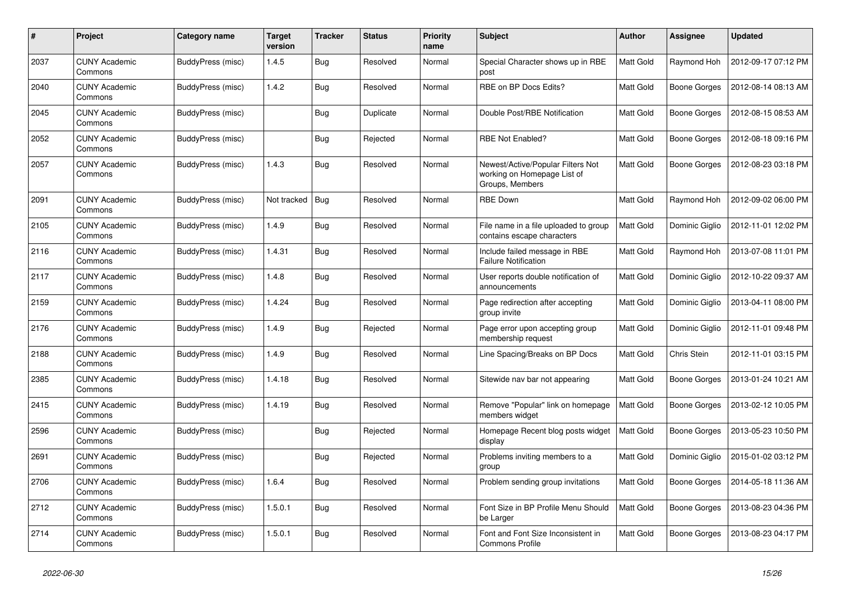| #    | Project                         | Category name     | <b>Target</b><br>version | <b>Tracker</b> | <b>Status</b> | <b>Priority</b><br>name | <b>Subject</b>                                                                      | <b>Author</b> | Assignee       | <b>Updated</b>      |
|------|---------------------------------|-------------------|--------------------------|----------------|---------------|-------------------------|-------------------------------------------------------------------------------------|---------------|----------------|---------------------|
| 2037 | <b>CUNY Academic</b><br>Commons | BuddyPress (misc) | 1.4.5                    | <b>Bug</b>     | Resolved      | Normal                  | Special Character shows up in RBE<br>post                                           | Matt Gold     | Raymond Hoh    | 2012-09-17 07:12 PM |
| 2040 | <b>CUNY Academic</b><br>Commons | BuddyPress (misc) | 1.4.2                    | <b>Bug</b>     | Resolved      | Normal                  | RBE on BP Docs Edits?                                                               | Matt Gold     | Boone Gorges   | 2012-08-14 08:13 AM |
| 2045 | <b>CUNY Academic</b><br>Commons | BuddyPress (misc) |                          | Bug            | Duplicate     | Normal                  | Double Post/RBE Notification                                                        | Matt Gold     | Boone Gorges   | 2012-08-15 08:53 AM |
| 2052 | <b>CUNY Academic</b><br>Commons | BuddyPress (misc) |                          | <b>Bug</b>     | Rejected      | Normal                  | <b>RBE Not Enabled?</b>                                                             | Matt Gold     | Boone Gorges   | 2012-08-18 09:16 PM |
| 2057 | <b>CUNY Academic</b><br>Commons | BuddyPress (misc) | 1.4.3                    | Bug            | Resolved      | Normal                  | Newest/Active/Popular Filters Not<br>working on Homepage List of<br>Groups, Members | Matt Gold     | Boone Gorges   | 2012-08-23 03:18 PM |
| 2091 | <b>CUNY Academic</b><br>Commons | BuddyPress (misc) | Not tracked              | Bug            | Resolved      | Normal                  | <b>RBE Down</b>                                                                     | Matt Gold     | Raymond Hoh    | 2012-09-02 06:00 PM |
| 2105 | <b>CUNY Academic</b><br>Commons | BuddyPress (misc) | 1.4.9                    | <b>Bug</b>     | Resolved      | Normal                  | File name in a file uploaded to group<br>contains escape characters                 | Matt Gold     | Dominic Giglio | 2012-11-01 12:02 PM |
| 2116 | <b>CUNY Academic</b><br>Commons | BuddyPress (misc) | 1.4.31                   | Bug            | Resolved      | Normal                  | Include failed message in RBE<br><b>Failure Notification</b>                        | Matt Gold     | Raymond Hoh    | 2013-07-08 11:01 PM |
| 2117 | <b>CUNY Academic</b><br>Commons | BuddyPress (misc) | 1.4.8                    | <b>Bug</b>     | Resolved      | Normal                  | User reports double notification of<br>announcements                                | Matt Gold     | Dominic Giglio | 2012-10-22 09:37 AM |
| 2159 | <b>CUNY Academic</b><br>Commons | BuddyPress (misc) | 1.4.24                   | Bug            | Resolved      | Normal                  | Page redirection after accepting<br>group invite                                    | Matt Gold     | Dominic Giglio | 2013-04-11 08:00 PM |
| 2176 | <b>CUNY Academic</b><br>Commons | BuddyPress (misc) | 1.4.9                    | <b>Bug</b>     | Rejected      | Normal                  | Page error upon accepting group<br>membership request                               | Matt Gold     | Dominic Giglio | 2012-11-01 09:48 PM |
| 2188 | <b>CUNY Academic</b><br>Commons | BuddyPress (misc) | 1.4.9                    | Bug            | Resolved      | Normal                  | Line Spacing/Breaks on BP Docs                                                      | Matt Gold     | Chris Stein    | 2012-11-01 03:15 PM |
| 2385 | <b>CUNY Academic</b><br>Commons | BuddyPress (misc) | 1.4.18                   | <b>Bug</b>     | Resolved      | Normal                  | Sitewide nav bar not appearing                                                      | Matt Gold     | Boone Gorges   | 2013-01-24 10:21 AM |
| 2415 | <b>CUNY Academic</b><br>Commons | BuddyPress (misc) | 1.4.19                   | <b>Bug</b>     | Resolved      | Normal                  | Remove "Popular" link on homepage<br>members widget                                 | Matt Gold     | Boone Gorges   | 2013-02-12 10:05 PM |
| 2596 | <b>CUNY Academic</b><br>Commons | BuddyPress (misc) |                          | <b>Bug</b>     | Rejected      | Normal                  | Homepage Recent blog posts widget<br>display                                        | Matt Gold     | Boone Gorges   | 2013-05-23 10:50 PM |
| 2691 | <b>CUNY Academic</b><br>Commons | BuddyPress (misc) |                          | Bug            | Rejected      | Normal                  | Problems inviting members to a<br>group                                             | Matt Gold     | Dominic Giglio | 2015-01-02 03:12 PM |
| 2706 | <b>CUNY Academic</b><br>Commons | BuddyPress (misc) | 1.6.4                    | <b>Bug</b>     | Resolved      | Normal                  | Problem sending group invitations                                                   | Matt Gold     | Boone Gorges   | 2014-05-18 11:36 AM |
| 2712 | <b>CUNY Academic</b><br>Commons | BuddyPress (misc) | 1.5.0.1                  | Bug            | Resolved      | Normal                  | Font Size in BP Profile Menu Should<br>be Larger                                    | Matt Gold     | Boone Gorges   | 2013-08-23 04:36 PM |
| 2714 | <b>CUNY Academic</b><br>Commons | BuddyPress (misc) | 1.5.0.1                  | <b>Bug</b>     | Resolved      | Normal                  | Font and Font Size Inconsistent in<br><b>Commons Profile</b>                        | Matt Gold     | Boone Gorges   | 2013-08-23 04:17 PM |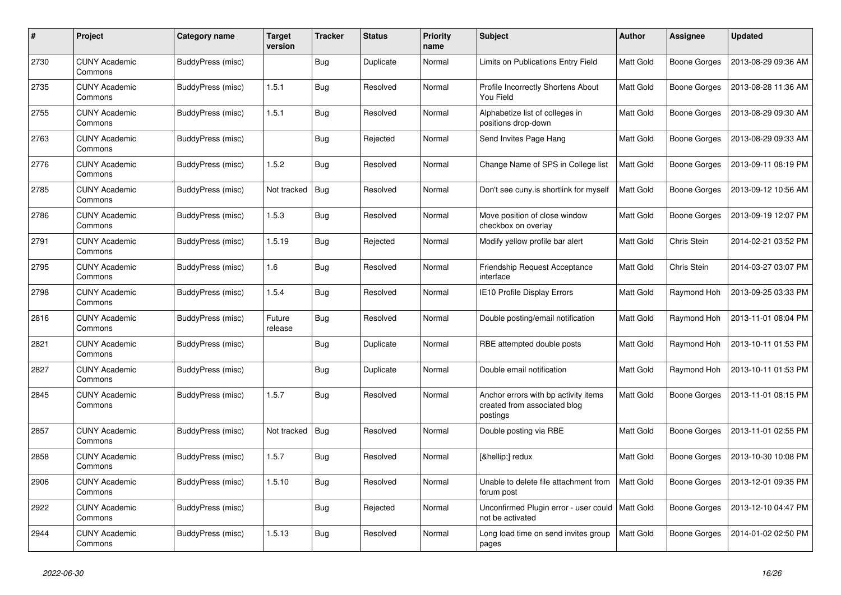| #    | Project                         | Category name     | <b>Target</b><br>version | <b>Tracker</b> | <b>Status</b> | <b>Priority</b><br>name | <b>Subject</b>                                                                   | <b>Author</b> | Assignee     | <b>Updated</b>      |
|------|---------------------------------|-------------------|--------------------------|----------------|---------------|-------------------------|----------------------------------------------------------------------------------|---------------|--------------|---------------------|
| 2730 | <b>CUNY Academic</b><br>Commons | BuddyPress (misc) |                          | <b>Bug</b>     | Duplicate     | Normal                  | Limits on Publications Entry Field                                               | Matt Gold     | Boone Gorges | 2013-08-29 09:36 AM |
| 2735 | <b>CUNY Academic</b><br>Commons | BuddyPress (misc) | 1.5.1                    | <b>Bug</b>     | Resolved      | Normal                  | Profile Incorrectly Shortens About<br>You Field                                  | Matt Gold     | Boone Gorges | 2013-08-28 11:36 AM |
| 2755 | <b>CUNY Academic</b><br>Commons | BuddyPress (misc) | 1.5.1                    | Bug            | Resolved      | Normal                  | Alphabetize list of colleges in<br>positions drop-down                           | Matt Gold     | Boone Gorges | 2013-08-29 09:30 AM |
| 2763 | <b>CUNY Academic</b><br>Commons | BuddyPress (misc) |                          | Bug            | Rejected      | Normal                  | Send Invites Page Hang                                                           | Matt Gold     | Boone Gorges | 2013-08-29 09:33 AM |
| 2776 | <b>CUNY Academic</b><br>Commons | BuddyPress (misc) | 1.5.2                    | <b>Bug</b>     | Resolved      | Normal                  | Change Name of SPS in College list                                               | Matt Gold     | Boone Gorges | 2013-09-11 08:19 PM |
| 2785 | <b>CUNY Academic</b><br>Commons | BuddyPress (misc) | Not tracked              | Bug            | Resolved      | Normal                  | Don't see cuny is shortlink for myself                                           | Matt Gold     | Boone Gorges | 2013-09-12 10:56 AM |
| 2786 | <b>CUNY Academic</b><br>Commons | BuddyPress (misc) | 1.5.3                    | <b>Bug</b>     | Resolved      | Normal                  | Move position of close window<br>checkbox on overlay                             | Matt Gold     | Boone Gorges | 2013-09-19 12:07 PM |
| 2791 | <b>CUNY Academic</b><br>Commons | BuddyPress (misc) | 1.5.19                   | <b>Bug</b>     | Rejected      | Normal                  | Modify yellow profile bar alert                                                  | Matt Gold     | Chris Stein  | 2014-02-21 03:52 PM |
| 2795 | <b>CUNY Academic</b><br>Commons | BuddyPress (misc) | 1.6                      | Bug            | Resolved      | Normal                  | <b>Friendship Request Acceptance</b><br>interface                                | Matt Gold     | Chris Stein  | 2014-03-27 03:07 PM |
| 2798 | <b>CUNY Academic</b><br>Commons | BuddyPress (misc) | 1.5.4                    | <b>Bug</b>     | Resolved      | Normal                  | IE10 Profile Display Errors                                                      | Matt Gold     | Raymond Hoh  | 2013-09-25 03:33 PM |
| 2816 | <b>CUNY Academic</b><br>Commons | BuddyPress (misc) | Future<br>release        | <b>Bug</b>     | Resolved      | Normal                  | Double posting/email notification                                                | Matt Gold     | Raymond Hoh  | 2013-11-01 08:04 PM |
| 2821 | <b>CUNY Academic</b><br>Commons | BuddyPress (misc) |                          | <b>Bug</b>     | Duplicate     | Normal                  | RBE attempted double posts                                                       | Matt Gold     | Raymond Hoh  | 2013-10-11 01:53 PM |
| 2827 | <b>CUNY Academic</b><br>Commons | BuddyPress (misc) |                          | <b>Bug</b>     | Duplicate     | Normal                  | Double email notification                                                        | Matt Gold     | Raymond Hoh  | 2013-10-11 01:53 PM |
| 2845 | <b>CUNY Academic</b><br>Commons | BuddyPress (misc) | 1.5.7                    | <b>Bug</b>     | Resolved      | Normal                  | Anchor errors with bp activity items<br>created from associated blog<br>postings | Matt Gold     | Boone Gorges | 2013-11-01 08:15 PM |
| 2857 | <b>CUNY Academic</b><br>Commons | BuddyPress (misc) | Not tracked              | Bug            | Resolved      | Normal                  | Double posting via RBE                                                           | Matt Gold     | Boone Gorges | 2013-11-01 02:55 PM |
| 2858 | <b>CUNY Academic</b><br>Commons | BuddyPress (misc) | 1.5.7                    | <b>Bug</b>     | Resolved      | Normal                  | […] redux                                                                        | Matt Gold     | Boone Gorges | 2013-10-30 10:08 PM |
| 2906 | <b>CUNY Academic</b><br>Commons | BuddyPress (misc) | 1.5.10                   | <b>Bug</b>     | Resolved      | Normal                  | Unable to delete file attachment from<br>forum post                              | Matt Gold     | Boone Gorges | 2013-12-01 09:35 PM |
| 2922 | <b>CUNY Academic</b><br>Commons | BuddyPress (misc) |                          | <b>Bug</b>     | Rejected      | Normal                  | Unconfirmed Plugin error - user could<br>not be activated                        | Matt Gold     | Boone Gorges | 2013-12-10 04:47 PM |
| 2944 | <b>CUNY Academic</b><br>Commons | BuddyPress (misc) | 1.5.13                   | <b>Bug</b>     | Resolved      | Normal                  | Long load time on send invites group<br>pages                                    | Matt Gold     | Boone Gorges | 2014-01-02 02:50 PM |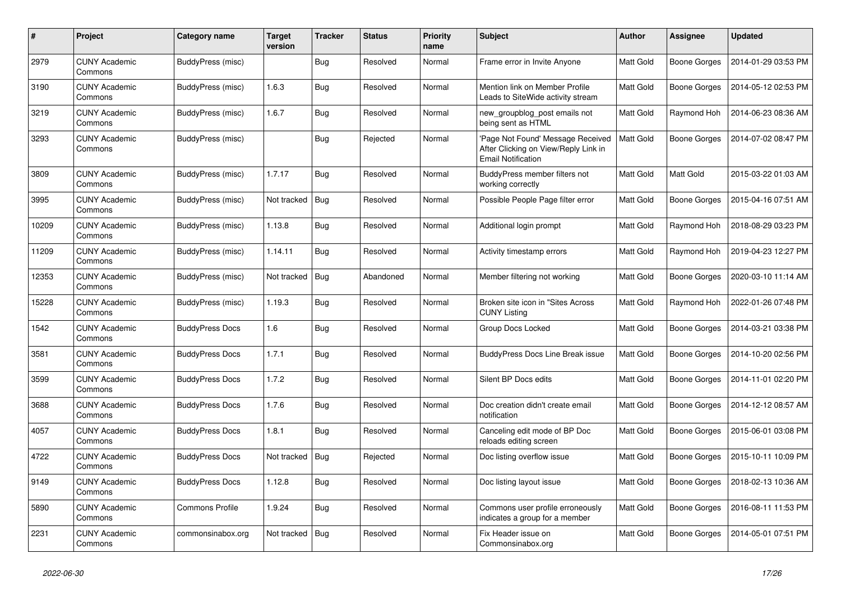| #     | Project                         | Category name          | <b>Target</b><br>version | <b>Tracker</b> | <b>Status</b> | <b>Priority</b><br>name | <b>Subject</b>                                                                                         | Author    | Assignee         | <b>Updated</b>      |
|-------|---------------------------------|------------------------|--------------------------|----------------|---------------|-------------------------|--------------------------------------------------------------------------------------------------------|-----------|------------------|---------------------|
| 2979  | <b>CUNY Academic</b><br>Commons | BuddyPress (misc)      |                          | Bug            | Resolved      | Normal                  | Frame error in Invite Anyone                                                                           | Matt Gold | Boone Gorges     | 2014-01-29 03:53 PM |
| 3190  | <b>CUNY Academic</b><br>Commons | BuddyPress (misc)      | 1.6.3                    | Bug            | Resolved      | Normal                  | Mention link on Member Profile<br>Leads to SiteWide activity stream                                    | Matt Gold | Boone Gorges     | 2014-05-12 02:53 PM |
| 3219  | <b>CUNY Academic</b><br>Commons | BuddyPress (misc)      | 1.6.7                    | Bug            | Resolved      | Normal                  | new groupblog post emails not<br>being sent as HTML                                                    | Matt Gold | Raymond Hoh      | 2014-06-23 08:36 AM |
| 3293  | <b>CUNY Academic</b><br>Commons | BuddyPress (misc)      |                          | Bug            | Rejected      | Normal                  | 'Page Not Found' Message Received<br>After Clicking on View/Reply Link in<br><b>Email Notification</b> | Matt Gold | Boone Gorges     | 2014-07-02 08:47 PM |
| 3809  | <b>CUNY Academic</b><br>Commons | BuddyPress (misc)      | 1.7.17                   | Bug            | Resolved      | Normal                  | BuddyPress member filters not<br>working correctly                                                     | Matt Gold | <b>Matt Gold</b> | 2015-03-22 01:03 AM |
| 3995  | <b>CUNY Academic</b><br>Commons | BuddyPress (misc)      | Not tracked              | Bug            | Resolved      | Normal                  | Possible People Page filter error                                                                      | Matt Gold | Boone Gorges     | 2015-04-16 07:51 AM |
| 10209 | <b>CUNY Academic</b><br>Commons | BuddyPress (misc)      | 1.13.8                   | Bug            | Resolved      | Normal                  | Additional login prompt                                                                                | Matt Gold | Raymond Hoh      | 2018-08-29 03:23 PM |
| 11209 | <b>CUNY Academic</b><br>Commons | BuddyPress (misc)      | 1.14.11                  | Bug            | Resolved      | Normal                  | Activity timestamp errors                                                                              | Matt Gold | Raymond Hoh      | 2019-04-23 12:27 PM |
| 12353 | <b>CUNY Academic</b><br>Commons | BuddyPress (misc)      | Not tracked              | Bug            | Abandoned     | Normal                  | Member filtering not working                                                                           | Matt Gold | Boone Gorges     | 2020-03-10 11:14 AM |
| 15228 | <b>CUNY Academic</b><br>Commons | BuddyPress (misc)      | 1.19.3                   | Bug            | Resolved      | Normal                  | Broken site icon in "Sites Across<br><b>CUNY Listing</b>                                               | Matt Gold | Raymond Hoh      | 2022-01-26 07:48 PM |
| 1542  | <b>CUNY Academic</b><br>Commons | <b>BuddyPress Docs</b> | 1.6                      | <b>Bug</b>     | Resolved      | Normal                  | Group Docs Locked                                                                                      | Matt Gold | Boone Gorges     | 2014-03-21 03:38 PM |
| 3581  | <b>CUNY Academic</b><br>Commons | <b>BuddyPress Docs</b> | 1.7.1                    | Bug            | Resolved      | Normal                  | <b>BuddyPress Docs Line Break issue</b>                                                                | Matt Gold | Boone Gorges     | 2014-10-20 02:56 PM |
| 3599  | <b>CUNY Academic</b><br>Commons | <b>BuddyPress Docs</b> | 1.7.2                    | Bug            | Resolved      | Normal                  | Silent BP Docs edits                                                                                   | Matt Gold | Boone Gorges     | 2014-11-01 02:20 PM |
| 3688  | <b>CUNY Academic</b><br>Commons | <b>BuddyPress Docs</b> | 1.7.6                    | Bug            | Resolved      | Normal                  | Doc creation didn't create email<br>notification                                                       | Matt Gold | Boone Gorges     | 2014-12-12 08:57 AM |
| 4057  | <b>CUNY Academic</b><br>Commons | <b>BuddyPress Docs</b> | 1.8.1                    | Bug            | Resolved      | Normal                  | Canceling edit mode of BP Doc<br>reloads editing screen                                                | Matt Gold | Boone Gorges     | 2015-06-01 03:08 PM |
| 4722  | <b>CUNY Academic</b><br>Commons | <b>BuddyPress Docs</b> | Not tracked              | Bug            | Rejected      | Normal                  | Doc listing overflow issue                                                                             | Matt Gold | Boone Gorges     | 2015-10-11 10:09 PM |
| 9149  | <b>CUNY Academic</b><br>Commons | <b>BuddyPress Docs</b> | 1.12.8                   | Bug            | Resolved      | Normal                  | Doc listing layout issue                                                                               | Matt Gold | Boone Gorges     | 2018-02-13 10:36 AM |
| 5890  | <b>CUNY Academic</b><br>Commons | <b>Commons Profile</b> | 1.9.24                   | Bug            | Resolved      | Normal                  | Commons user profile erroneously<br>indicates a group for a member                                     | Matt Gold | Boone Gorges     | 2016-08-11 11:53 PM |
| 2231  | <b>CUNY Academic</b><br>Commons | commonsinabox.org      | Not tracked              | Bug            | Resolved      | Normal                  | Fix Header issue on<br>Commonsinabox.org                                                               | Matt Gold | Boone Gorges     | 2014-05-01 07:51 PM |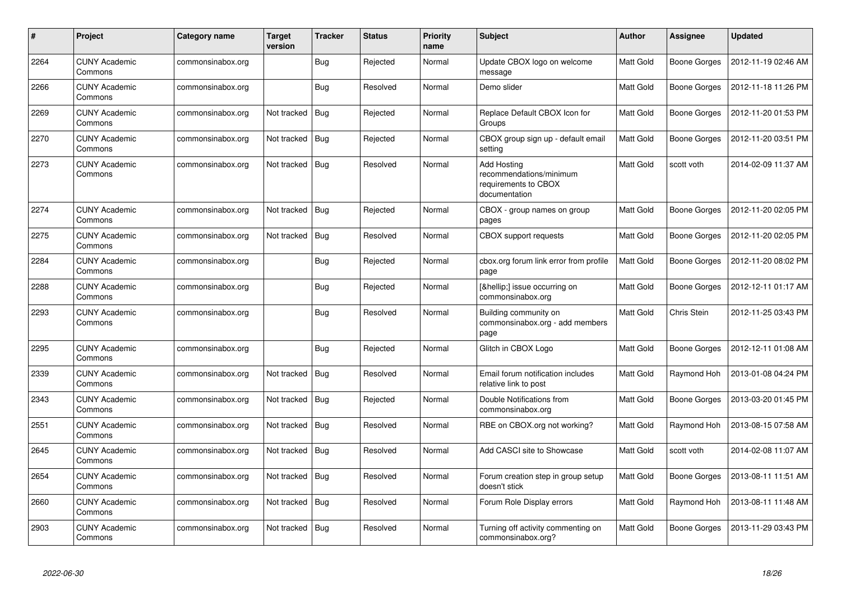| #    | <b>Project</b>                  | Category name     | <b>Target</b><br>version | <b>Tracker</b> | <b>Status</b> | <b>Priority</b><br>name | <b>Subject</b>                                                                         | Author    | Assignee            | <b>Updated</b>      |
|------|---------------------------------|-------------------|--------------------------|----------------|---------------|-------------------------|----------------------------------------------------------------------------------------|-----------|---------------------|---------------------|
| 2264 | <b>CUNY Academic</b><br>Commons | commonsinabox.org |                          | Bug            | Rejected      | Normal                  | Update CBOX logo on welcome<br>message                                                 | Matt Gold | Boone Gorges        | 2012-11-19 02:46 AM |
| 2266 | <b>CUNY Academic</b><br>Commons | commonsinabox.org |                          | Bug            | Resolved      | Normal                  | Demo slider                                                                            | Matt Gold | Boone Gorges        | 2012-11-18 11:26 PM |
| 2269 | <b>CUNY Academic</b><br>Commons | commonsinabox.org | Not tracked              | <b>Bug</b>     | Rejected      | Normal                  | Replace Default CBOX Icon for<br>Groups                                                | Matt Gold | <b>Boone Gorges</b> | 2012-11-20 01:53 PM |
| 2270 | <b>CUNY Academic</b><br>Commons | commonsinabox.org | Not tracked              | Bug            | Rejected      | Normal                  | CBOX group sign up - default email<br>setting                                          | Matt Gold | Boone Gorges        | 2012-11-20 03:51 PM |
| 2273 | <b>CUNY Academic</b><br>Commons | commonsinabox.org | Not tracked              | Bug            | Resolved      | Normal                  | <b>Add Hosting</b><br>recommendations/minimum<br>requirements to CBOX<br>documentation | Matt Gold | scott voth          | 2014-02-09 11:37 AM |
| 2274 | <b>CUNY Academic</b><br>Commons | commonsinabox.org | Not tracked              | <b>Bug</b>     | Rejected      | Normal                  | CBOX - group names on group<br>pages                                                   | Matt Gold | Boone Gorges        | 2012-11-20 02:05 PM |
| 2275 | <b>CUNY Academic</b><br>Commons | commonsinabox.org | Not tracked              | <b>Bug</b>     | Resolved      | Normal                  | CBOX support requests                                                                  | Matt Gold | Boone Gorges        | 2012-11-20 02:05 PM |
| 2284 | <b>CUNY Academic</b><br>Commons | commonsinabox.org |                          | Bug            | Rejected      | Normal                  | cbox.org forum link error from profile<br>page                                         | Matt Gold | Boone Gorges        | 2012-11-20 08:02 PM |
| 2288 | <b>CUNY Academic</b><br>Commons | commonsinabox.org |                          | <b>Bug</b>     | Rejected      | Normal                  | […] issue occurring on<br>commonsinabox.org                                            | Matt Gold | Boone Gorges        | 2012-12-11 01:17 AM |
| 2293 | <b>CUNY Academic</b><br>Commons | commonsinabox.org |                          | <b>Bug</b>     | Resolved      | Normal                  | Building community on<br>commonsinabox.org - add members<br>page                       | Matt Gold | Chris Stein         | 2012-11-25 03:43 PM |
| 2295 | <b>CUNY Academic</b><br>Commons | commonsinabox.org |                          | Bug            | Rejected      | Normal                  | Glitch in CBOX Logo                                                                    | Matt Gold | <b>Boone Gorges</b> | 2012-12-11 01:08 AM |
| 2339 | <b>CUNY Academic</b><br>Commons | commonsinabox.org | Not tracked              | Bug            | Resolved      | Normal                  | Email forum notification includes<br>relative link to post                             | Matt Gold | Raymond Hoh         | 2013-01-08 04:24 PM |
| 2343 | <b>CUNY Academic</b><br>Commons | commonsinabox.org | Not tracked              | <b>Bug</b>     | Rejected      | Normal                  | Double Notifications from<br>commonsinabox.org                                         | Matt Gold | Boone Gorges        | 2013-03-20 01:45 PM |
| 2551 | <b>CUNY Academic</b><br>Commons | commonsinabox.org | Not tracked              | <b>Bug</b>     | Resolved      | Normal                  | RBE on CBOX.org not working?                                                           | Matt Gold | Raymond Hoh         | 2013-08-15 07:58 AM |
| 2645 | <b>CUNY Academic</b><br>Commons | commonsinabox.org | Not tracked              | Bug            | Resolved      | Normal                  | Add CASCI site to Showcase                                                             | Matt Gold | scott voth          | 2014-02-08 11:07 AM |
| 2654 | <b>CUNY Academic</b><br>Commons | commonsinabox.org | Not tracked   Bug        |                | Resolved      | Normal                  | Forum creation step in group setup<br>doesn't stick                                    | Matt Gold | <b>Boone Gorges</b> | 2013-08-11 11:51 AM |
| 2660 | <b>CUNY Academic</b><br>Commons | commonsinabox.org | Not tracked              | Bug            | Resolved      | Normal                  | Forum Role Display errors                                                              | Matt Gold | Raymond Hoh         | 2013-08-11 11:48 AM |
| 2903 | <b>CUNY Academic</b><br>Commons | commonsinabox.org | Not tracked              | Bug            | Resolved      | Normal                  | Turning off activity commenting on<br>commonsinabox.org?                               | Matt Gold | <b>Boone Gorges</b> | 2013-11-29 03:43 PM |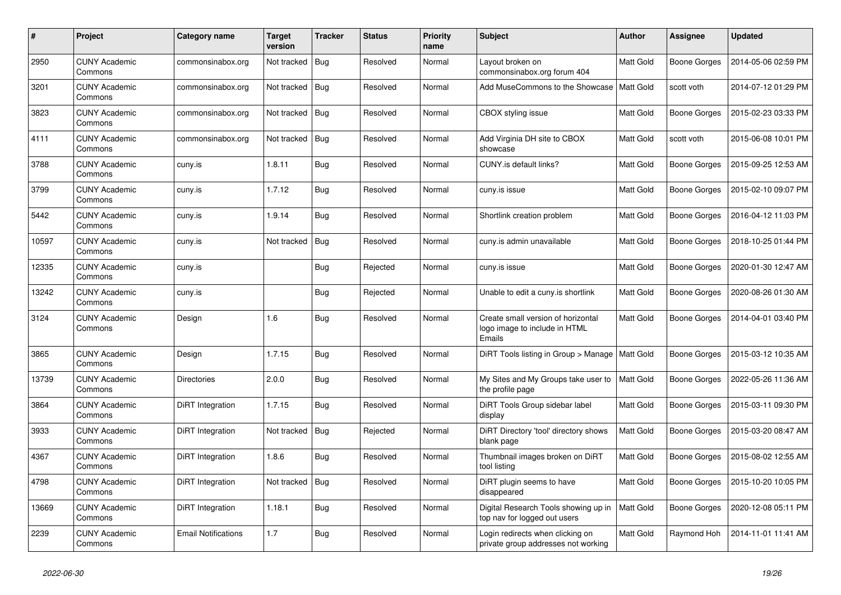| #     | Project                         | Category name              | <b>Target</b><br>version | <b>Tracker</b> | <b>Status</b> | <b>Priority</b><br>name | <b>Subject</b>                                                                | <b>Author</b>    | Assignee            | <b>Updated</b>      |
|-------|---------------------------------|----------------------------|--------------------------|----------------|---------------|-------------------------|-------------------------------------------------------------------------------|------------------|---------------------|---------------------|
| 2950  | <b>CUNY Academic</b><br>Commons | commonsinabox.org          | Not tracked   Bug        |                | Resolved      | Normal                  | Layout broken on<br>commonsinabox.org forum 404                               | Matt Gold        | Boone Gorges        | 2014-05-06 02:59 PM |
| 3201  | <b>CUNY Academic</b><br>Commons | commonsinabox.org          | Not tracked   Bug        |                | Resolved      | Normal                  | Add MuseCommons to the Showcase                                               | <b>Matt Gold</b> | scott voth          | 2014-07-12 01:29 PM |
| 3823  | <b>CUNY Academic</b><br>Commons | commonsinabox.org          | Not tracked   Bug        |                | Resolved      | Normal                  | CBOX styling issue                                                            | Matt Gold        | Boone Gorges        | 2015-02-23 03:33 PM |
| 4111  | <b>CUNY Academic</b><br>Commons | commonsinabox.org          | Not tracked   Bug        |                | Resolved      | Normal                  | Add Virginia DH site to CBOX<br>showcase                                      | Matt Gold        | scott voth          | 2015-06-08 10:01 PM |
| 3788  | <b>CUNY Academic</b><br>Commons | cuny.is                    | 1.8.11                   | <b>Bug</b>     | Resolved      | Normal                  | CUNY.is default links?                                                        | Matt Gold        | Boone Gorges        | 2015-09-25 12:53 AM |
| 3799  | <b>CUNY Academic</b><br>Commons | cuny.is                    | 1.7.12                   | <b>Bug</b>     | Resolved      | Normal                  | cuny.is issue                                                                 | Matt Gold        | Boone Gorges        | 2015-02-10 09:07 PM |
| 5442  | <b>CUNY Academic</b><br>Commons | cuny.is                    | 1.9.14                   | Bug            | Resolved      | Normal                  | Shortlink creation problem                                                    | Matt Gold        | Boone Gorges        | 2016-04-12 11:03 PM |
| 10597 | <b>CUNY Academic</b><br>Commons | cuny.is                    | Not tracked   Bug        |                | Resolved      | Normal                  | cuny.is admin unavailable                                                     | Matt Gold        | Boone Gorges        | 2018-10-25 01:44 PM |
| 12335 | <b>CUNY Academic</b><br>Commons | cuny.is                    |                          | <b>Bug</b>     | Rejected      | Normal                  | cuny.is issue                                                                 | Matt Gold        | <b>Boone Gorges</b> | 2020-01-30 12:47 AM |
| 13242 | <b>CUNY Academic</b><br>Commons | cuny.is                    |                          | <b>Bug</b>     | Rejected      | Normal                  | Unable to edit a cuny.is shortlink                                            | Matt Gold        | Boone Gorges        | 2020-08-26 01:30 AM |
| 3124  | CUNY Academic<br>Commons        | Design                     | 1.6                      | <b>Bug</b>     | Resolved      | Normal                  | Create small version of horizontal<br>logo image to include in HTML<br>Emails | Matt Gold        | Boone Gorges        | 2014-04-01 03:40 PM |
| 3865  | <b>CUNY Academic</b><br>Commons | Design                     | 1.7.15                   | <b>Bug</b>     | Resolved      | Normal                  | DiRT Tools listing in Group > Manage                                          | <b>Matt Gold</b> | Boone Gorges        | 2015-03-12 10:35 AM |
| 13739 | <b>CUNY Academic</b><br>Commons | <b>Directories</b>         | 2.0.0                    | <b>Bug</b>     | Resolved      | Normal                  | My Sites and My Groups take user to<br>the profile page                       | Matt Gold        | Boone Gorges        | 2022-05-26 11:36 AM |
| 3864  | <b>CUNY Academic</b><br>Commons | DiRT Integration           | 1.7.15                   | <b>Bug</b>     | Resolved      | Normal                  | DiRT Tools Group sidebar label<br>display                                     | Matt Gold        | Boone Gorges        | 2015-03-11 09:30 PM |
| 3933  | <b>CUNY Academic</b><br>Commons | DiRT Integration           | Not tracked              | Bug            | Rejected      | Normal                  | DiRT Directory 'tool' directory shows<br>blank page                           | Matt Gold        | Boone Gorges        | 2015-03-20 08:47 AM |
| 4367  | <b>CUNY Academic</b><br>Commons | DiRT Integration           | 1.8.6                    | Bug            | Resolved      | Normal                  | Thumbnail images broken on DiRT<br>tool listing                               | Matt Gold        | Boone Gorges        | 2015-08-02 12:55 AM |
| 4798  | <b>CUNY Academic</b><br>Commons | DiRT Integration           | Not tracked              | Bug            | Resolved      | Normal                  | DiRT plugin seems to have<br>disappeared                                      | Matt Gold        | Boone Gorges        | 2015-10-20 10:05 PM |
| 13669 | <b>CUNY Academic</b><br>Commons | DiRT Integration           | 1.18.1                   | <b>Bug</b>     | Resolved      | Normal                  | Digital Research Tools showing up in<br>top nav for logged out users          | Matt Gold        | Boone Gorges        | 2020-12-08 05:11 PM |
| 2239  | <b>CUNY Academic</b><br>Commons | <b>Email Notifications</b> | 1.7                      | <b>Bug</b>     | Resolved      | Normal                  | Login redirects when clicking on<br>private group addresses not working       | Matt Gold        | Raymond Hoh         | 2014-11-01 11:41 AM |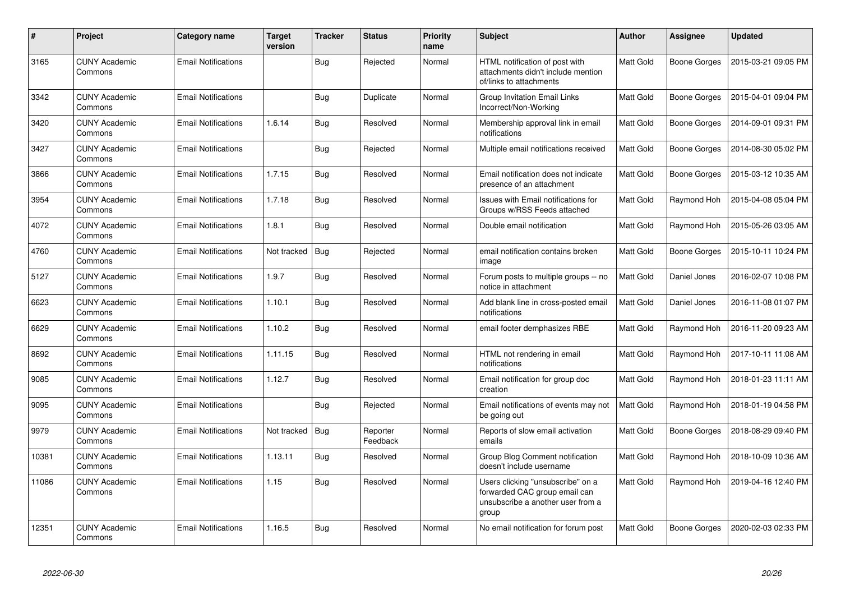| #     | Project                         | Category name              | <b>Target</b><br>version | <b>Tracker</b> | <b>Status</b>        | <b>Priority</b><br>name | <b>Subject</b>                                                                                                   | Author    | Assignee            | <b>Updated</b>      |
|-------|---------------------------------|----------------------------|--------------------------|----------------|----------------------|-------------------------|------------------------------------------------------------------------------------------------------------------|-----------|---------------------|---------------------|
| 3165  | <b>CUNY Academic</b><br>Commons | <b>Email Notifications</b> |                          | Bug            | Rejected             | Normal                  | HTML notification of post with<br>attachments didn't include mention<br>of/links to attachments                  | Matt Gold | <b>Boone Gorges</b> | 2015-03-21 09:05 PM |
| 3342  | CUNY Academic<br>Commons        | <b>Email Notifications</b> |                          | Bug            | Duplicate            | Normal                  | Group Invitation Email Links<br>Incorrect/Non-Working                                                            | Matt Gold | <b>Boone Gorges</b> | 2015-04-01 09:04 PM |
| 3420  | <b>CUNY Academic</b><br>Commons | <b>Email Notifications</b> | 1.6.14                   | Bug            | Resolved             | Normal                  | Membership approval link in email<br>notifications                                                               | Matt Gold | Boone Gorges        | 2014-09-01 09:31 PM |
| 3427  | <b>CUNY Academic</b><br>Commons | <b>Email Notifications</b> |                          | Bug            | Rejected             | Normal                  | Multiple email notifications received                                                                            | Matt Gold | Boone Gorges        | 2014-08-30 05:02 PM |
| 3866  | <b>CUNY Academic</b><br>Commons | <b>Email Notifications</b> | 1.7.15                   | Bug            | Resolved             | Normal                  | Email notification does not indicate<br>presence of an attachment                                                | Matt Gold | Boone Gorges        | 2015-03-12 10:35 AM |
| 3954  | <b>CUNY Academic</b><br>Commons | <b>Email Notifications</b> | 1.7.18                   | Bug            | Resolved             | Normal                  | Issues with Email notifications for<br>Groups w/RSS Feeds attached                                               | Matt Gold | Raymond Hoh         | 2015-04-08 05:04 PM |
| 4072  | <b>CUNY Academic</b><br>Commons | <b>Email Notifications</b> | 1.8.1                    | Bug            | Resolved             | Normal                  | Double email notification                                                                                        | Matt Gold | Raymond Hoh         | 2015-05-26 03:05 AM |
| 4760  | <b>CUNY Academic</b><br>Commons | <b>Email Notifications</b> | Not tracked              | <b>Bug</b>     | Rejected             | Normal                  | email notification contains broken<br>image                                                                      | Matt Gold | Boone Gorges        | 2015-10-11 10:24 PM |
| 5127  | <b>CUNY Academic</b><br>Commons | <b>Email Notifications</b> | 1.9.7                    | Bug            | Resolved             | Normal                  | Forum posts to multiple groups -- no<br>notice in attachment                                                     | Matt Gold | Daniel Jones        | 2016-02-07 10:08 PM |
| 6623  | <b>CUNY Academic</b><br>Commons | <b>Email Notifications</b> | 1.10.1                   | Bug            | Resolved             | Normal                  | Add blank line in cross-posted email<br>notifications                                                            | Matt Gold | Daniel Jones        | 2016-11-08 01:07 PM |
| 6629  | <b>CUNY Academic</b><br>Commons | <b>Email Notifications</b> | 1.10.2                   | Bug            | Resolved             | Normal                  | email footer demphasizes RBE                                                                                     | Matt Gold | Raymond Hoh         | 2016-11-20 09:23 AM |
| 8692  | <b>CUNY Academic</b><br>Commons | <b>Email Notifications</b> | 1.11.15                  | <b>Bug</b>     | Resolved             | Normal                  | HTML not rendering in email<br>notifications                                                                     | Matt Gold | Raymond Hoh         | 2017-10-11 11:08 AM |
| 9085  | <b>CUNY Academic</b><br>Commons | <b>Email Notifications</b> | 1.12.7                   | Bug            | Resolved             | Normal                  | Email notification for group doc<br>creation                                                                     | Matt Gold | Raymond Hoh         | 2018-01-23 11:11 AM |
| 9095  | <b>CUNY Academic</b><br>Commons | <b>Email Notifications</b> |                          | Bug            | Rejected             | Normal                  | Email notifications of events may not<br>be going out                                                            | Matt Gold | Raymond Hoh         | 2018-01-19 04:58 PM |
| 9979  | <b>CUNY Academic</b><br>Commons | <b>Email Notifications</b> | Not tracked              | Bug            | Reporter<br>Feedback | Normal                  | Reports of slow email activation<br>emails                                                                       | Matt Gold | Boone Gorges        | 2018-08-29 09:40 PM |
| 10381 | <b>CUNY Academic</b><br>Commons | <b>Email Notifications</b> | 1.13.11                  | Bug            | Resolved             | Normal                  | Group Blog Comment notification<br>doesn't include username                                                      | Matt Gold | Raymond Hoh         | 2018-10-09 10:36 AM |
| 11086 | <b>CUNY Academic</b><br>Commons | <b>Email Notifications</b> | 1.15                     | Bug            | Resolved             | Normal                  | Users clicking "unsubscribe" on a<br>forwarded CAC group email can<br>unsubscribe a another user from a<br>group | Matt Gold | Raymond Hoh         | 2019-04-16 12:40 PM |
| 12351 | <b>CUNY Academic</b><br>Commons | <b>Email Notifications</b> | 1.16.5                   | Bug            | Resolved             | Normal                  | No email notification for forum post                                                                             | Matt Gold | <b>Boone Gorges</b> | 2020-02-03 02:33 PM |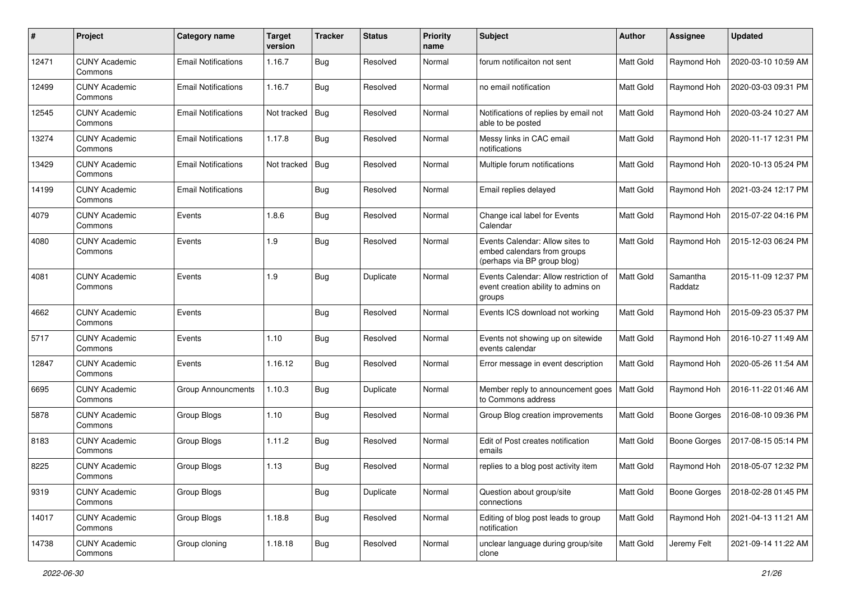| #     | Project                         | <b>Category name</b>       | <b>Target</b><br>version | <b>Tracker</b> | <b>Status</b> | <b>Priority</b><br>name | <b>Subject</b>                                                                                | <b>Author</b>    | <b>Assignee</b>     | <b>Updated</b>      |
|-------|---------------------------------|----------------------------|--------------------------|----------------|---------------|-------------------------|-----------------------------------------------------------------------------------------------|------------------|---------------------|---------------------|
| 12471 | <b>CUNY Academic</b><br>Commons | <b>Email Notifications</b> | 1.16.7                   | Bug            | Resolved      | Normal                  | forum notificaiton not sent                                                                   | Matt Gold        | Raymond Hoh         | 2020-03-10 10:59 AM |
| 12499 | <b>CUNY Academic</b><br>Commons | <b>Email Notifications</b> | 1.16.7                   | <b>Bug</b>     | Resolved      | Normal                  | no email notification                                                                         | Matt Gold        | Raymond Hoh         | 2020-03-03 09:31 PM |
| 12545 | <b>CUNY Academic</b><br>Commons | <b>Email Notifications</b> | Not tracked              | Bug            | Resolved      | Normal                  | Notifications of replies by email not<br>able to be posted                                    | Matt Gold        | Raymond Hoh         | 2020-03-24 10:27 AM |
| 13274 | <b>CUNY Academic</b><br>Commons | <b>Email Notifications</b> | 1.17.8                   | Bug            | Resolved      | Normal                  | Messy links in CAC email<br>notifications                                                     | <b>Matt Gold</b> | Raymond Hoh         | 2020-11-17 12:31 PM |
| 13429 | <b>CUNY Academic</b><br>Commons | <b>Email Notifications</b> | Not tracked   Bug        |                | Resolved      | Normal                  | Multiple forum notifications                                                                  | <b>Matt Gold</b> | Raymond Hoh         | 2020-10-13 05:24 PM |
| 14199 | <b>CUNY Academic</b><br>Commons | <b>Email Notifications</b> |                          | <b>Bug</b>     | Resolved      | Normal                  | Email replies delayed                                                                         | Matt Gold        | Raymond Hoh         | 2021-03-24 12:17 PM |
| 4079  | <b>CUNY Academic</b><br>Commons | Events                     | 1.8.6                    | Bug            | Resolved      | Normal                  | Change ical label for Events<br>Calendar                                                      | Matt Gold        | Raymond Hoh         | 2015-07-22 04:16 PM |
| 4080  | <b>CUNY Academic</b><br>Commons | Events                     | 1.9                      | Bug            | Resolved      | Normal                  | Events Calendar: Allow sites to<br>embed calendars from groups<br>(perhaps via BP group blog) | Matt Gold        | Raymond Hoh         | 2015-12-03 06:24 PM |
| 4081  | <b>CUNY Academic</b><br>Commons | Events                     | 1.9                      | Bug            | Duplicate     | Normal                  | Events Calendar: Allow restriction of<br>event creation ability to admins on<br>groups        | Matt Gold        | Samantha<br>Raddatz | 2015-11-09 12:37 PM |
| 4662  | <b>CUNY Academic</b><br>Commons | Events                     |                          | Bug            | Resolved      | Normal                  | Events ICS download not working                                                               | <b>Matt Gold</b> | Raymond Hoh         | 2015-09-23 05:37 PM |
| 5717  | <b>CUNY Academic</b><br>Commons | Events                     | 1.10                     | <b>Bug</b>     | Resolved      | Normal                  | Events not showing up on sitewide<br>events calendar                                          | Matt Gold        | Raymond Hoh         | 2016-10-27 11:49 AM |
| 12847 | <b>CUNY Academic</b><br>Commons | Events                     | 1.16.12                  | Bug            | Resolved      | Normal                  | Error message in event description                                                            | Matt Gold        | Raymond Hoh         | 2020-05-26 11:54 AM |
| 6695  | <b>CUNY Academic</b><br>Commons | <b>Group Announcments</b>  | 1.10.3                   | Bug            | Duplicate     | Normal                  | Member reply to announcement goes<br>to Commons address                                       | Matt Gold        | Raymond Hoh         | 2016-11-22 01:46 AM |
| 5878  | <b>CUNY Academic</b><br>Commons | Group Blogs                | 1.10                     | Bug            | Resolved      | Normal                  | Group Blog creation improvements                                                              | Matt Gold        | Boone Gorges        | 2016-08-10 09:36 PM |
| 8183  | <b>CUNY Academic</b><br>Commons | Group Blogs                | 1.11.2                   | <b>Bug</b>     | Resolved      | Normal                  | Edit of Post creates notification<br>emails                                                   | Matt Gold        | <b>Boone Gorges</b> | 2017-08-15 05:14 PM |
| 8225  | <b>CUNY Academic</b><br>Commons | Group Blogs                | 1.13                     | Bug            | Resolved      | Normal                  | replies to a blog post activity item                                                          | Matt Gold        | Raymond Hoh         | 2018-05-07 12:32 PM |
| 9319  | <b>CUNY Academic</b><br>Commons | Group Blogs                |                          | <b>Bug</b>     | Duplicate     | Normal                  | Question about group/site<br>connections                                                      | Matt Gold        | Boone Gorges        | 2018-02-28 01:45 PM |
| 14017 | <b>CUNY Academic</b><br>Commons | Group Blogs                | 1.18.8                   | <b>Bug</b>     | Resolved      | Normal                  | Editing of blog post leads to group<br>notification                                           | Matt Gold        | Raymond Hoh         | 2021-04-13 11:21 AM |
| 14738 | <b>CUNY Academic</b><br>Commons | Group cloning              | 1.18.18                  | <b>Bug</b>     | Resolved      | Normal                  | unclear language during group/site<br>clone                                                   | Matt Gold        | Jeremy Felt         | 2021-09-14 11:22 AM |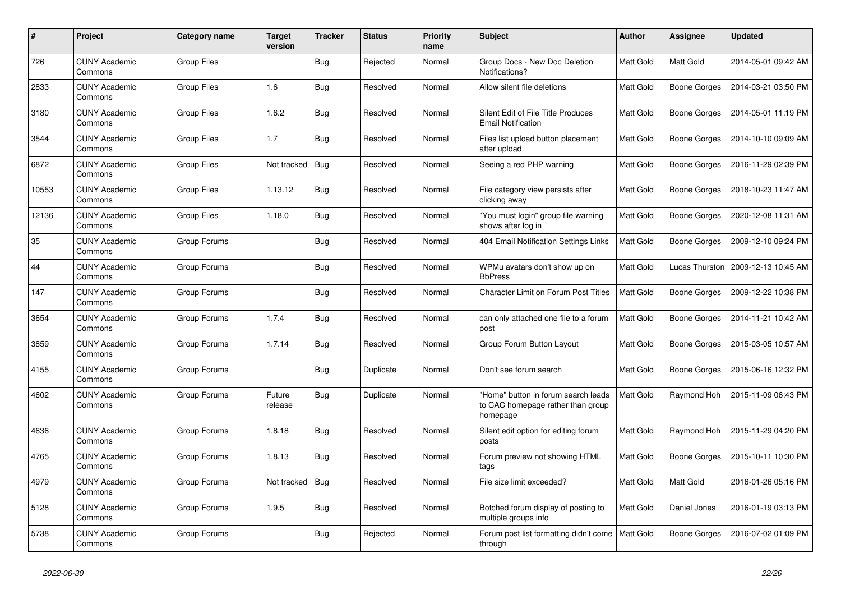| #     | Project                         | Category name      | <b>Target</b><br>version | <b>Tracker</b> | <b>Status</b> | <b>Priority</b><br>name | <b>Subject</b>                                                                       | <b>Author</b> | Assignee         | <b>Updated</b>      |
|-------|---------------------------------|--------------------|--------------------------|----------------|---------------|-------------------------|--------------------------------------------------------------------------------------|---------------|------------------|---------------------|
| 726   | <b>CUNY Academic</b><br>Commons | Group Files        |                          | <b>Bug</b>     | Rejected      | Normal                  | Group Docs - New Doc Deletion<br>Notifications?                                      | Matt Gold     | Matt Gold        | 2014-05-01 09:42 AM |
| 2833  | <b>CUNY Academic</b><br>Commons | <b>Group Files</b> | 1.6                      | <b>Bug</b>     | Resolved      | Normal                  | Allow silent file deletions                                                          | Matt Gold     | Boone Gorges     | 2014-03-21 03:50 PM |
| 3180  | <b>CUNY Academic</b><br>Commons | Group Files        | 1.6.2                    | Bug            | Resolved      | Normal                  | Silent Edit of File Title Produces<br><b>Email Notification</b>                      | Matt Gold     | Boone Gorges     | 2014-05-01 11:19 PM |
| 3544  | <b>CUNY Academic</b><br>Commons | Group Files        | 1.7                      | <b>Bug</b>     | Resolved      | Normal                  | Files list upload button placement<br>after upload                                   | Matt Gold     | Boone Gorges     | 2014-10-10 09:09 AM |
| 6872  | <b>CUNY Academic</b><br>Commons | <b>Group Files</b> | Not tracked              | <b>Bug</b>     | Resolved      | Normal                  | Seeing a red PHP warning                                                             | Matt Gold     | Boone Gorges     | 2016-11-29 02:39 PM |
| 10553 | <b>CUNY Academic</b><br>Commons | <b>Group Files</b> | 1.13.12                  | Bug            | Resolved      | Normal                  | File category view persists after<br>clicking away                                   | Matt Gold     | Boone Gorges     | 2018-10-23 11:47 AM |
| 12136 | <b>CUNY Academic</b><br>Commons | Group Files        | 1.18.0                   | <b>Bug</b>     | Resolved      | Normal                  | "You must login" group file warning<br>shows after log in                            | Matt Gold     | Boone Gorges     | 2020-12-08 11:31 AM |
| 35    | CUNY Academic<br>Commons        | Group Forums       |                          | <b>Bug</b>     | Resolved      | Normal                  | 404 Email Notification Settings Links                                                | Matt Gold     | Boone Gorges     | 2009-12-10 09:24 PM |
| 44    | <b>CUNY Academic</b><br>Commons | Group Forums       |                          | Bug            | Resolved      | Normal                  | WPMu avatars don't show up on<br><b>BbPress</b>                                      | Matt Gold     | Lucas Thurston   | 2009-12-13 10:45 AM |
| 147   | <b>CUNY Academic</b><br>Commons | Group Forums       |                          | <b>Bug</b>     | Resolved      | Normal                  | <b>Character Limit on Forum Post Titles</b>                                          | Matt Gold     | Boone Gorges     | 2009-12-22 10:38 PM |
| 3654  | <b>CUNY Academic</b><br>Commons | Group Forums       | 1.7.4                    | <b>Bug</b>     | Resolved      | Normal                  | can only attached one file to a forum<br>post                                        | Matt Gold     | Boone Gorges     | 2014-11-21 10:42 AM |
| 3859  | <b>CUNY Academic</b><br>Commons | Group Forums       | 1.7.14                   | <b>Bug</b>     | Resolved      | Normal                  | Group Forum Button Layout                                                            | Matt Gold     | Boone Gorges     | 2015-03-05 10:57 AM |
| 4155  | <b>CUNY Academic</b><br>Commons | Group Forums       |                          | <b>Bug</b>     | Duplicate     | Normal                  | Don't see forum search                                                               | Matt Gold     | Boone Gorges     | 2015-06-16 12:32 PM |
| 4602  | <b>CUNY Academic</b><br>Commons | Group Forums       | Future<br>release        | <b>Bug</b>     | Duplicate     | Normal                  | "Home" button in forum search leads<br>to CAC homepage rather than group<br>homepage | Matt Gold     | Raymond Hoh      | 2015-11-09 06:43 PM |
| 4636  | <b>CUNY Academic</b><br>Commons | Group Forums       | 1.8.18                   | <b>Bug</b>     | Resolved      | Normal                  | Silent edit option for editing forum<br>posts                                        | Matt Gold     | Raymond Hoh      | 2015-11-29 04:20 PM |
| 4765  | <b>CUNY Academic</b><br>Commons | Group Forums       | 1.8.13                   | Bug            | Resolved      | Normal                  | Forum preview not showing HTML<br>tags                                               | Matt Gold     | Boone Gorges     | 2015-10-11 10:30 PM |
| 4979  | <b>CUNY Academic</b><br>Commons | Group Forums       | Not tracked              | Bug            | Resolved      | Normal                  | File size limit exceeded?                                                            | Matt Gold     | <b>Matt Gold</b> | 2016-01-26 05:16 PM |
| 5128  | <b>CUNY Academic</b><br>Commons | Group Forums       | 1.9.5                    | <b>Bug</b>     | Resolved      | Normal                  | Botched forum display of posting to<br>multiple groups info                          | Matt Gold     | Daniel Jones     | 2016-01-19 03:13 PM |
| 5738  | <b>CUNY Academic</b><br>Commons | Group Forums       |                          | Bug            | Rejected      | Normal                  | Forum post list formatting didn't come   Matt Gold<br>through                        |               | Boone Gorges     | 2016-07-02 01:09 PM |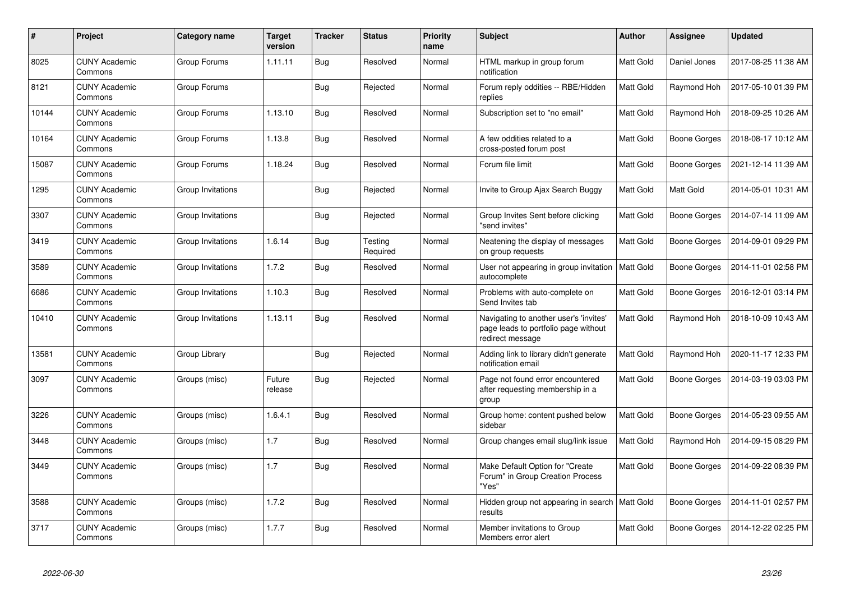| #     | Project                         | Category name     | <b>Target</b><br>version | <b>Tracker</b> | <b>Status</b>       | <b>Priority</b><br>name | <b>Subject</b>                                                                                     | <b>Author</b>    | Assignee     | <b>Updated</b>      |
|-------|---------------------------------|-------------------|--------------------------|----------------|---------------------|-------------------------|----------------------------------------------------------------------------------------------------|------------------|--------------|---------------------|
| 8025  | <b>CUNY Academic</b><br>Commons | Group Forums      | 1.11.11                  | Bug            | Resolved            | Normal                  | HTML markup in group forum<br>notification                                                         | Matt Gold        | Daniel Jones | 2017-08-25 11:38 AM |
| 8121  | <b>CUNY Academic</b><br>Commons | Group Forums      |                          | Bug            | Rejected            | Normal                  | Forum reply oddities -- RBE/Hidden<br>replies                                                      | Matt Gold        | Raymond Hoh  | 2017-05-10 01:39 PM |
| 10144 | <b>CUNY Academic</b><br>Commons | Group Forums      | 1.13.10                  | <b>Bug</b>     | Resolved            | Normal                  | Subscription set to "no email"                                                                     | Matt Gold        | Raymond Hoh  | 2018-09-25 10:26 AM |
| 10164 | <b>CUNY Academic</b><br>Commons | Group Forums      | 1.13.8                   | <b>Bug</b>     | Resolved            | Normal                  | A few oddities related to a<br>cross-posted forum post                                             | Matt Gold        | Boone Gorges | 2018-08-17 10:12 AM |
| 15087 | <b>CUNY Academic</b><br>Commons | Group Forums      | 1.18.24                  | <b>Bug</b>     | Resolved            | Normal                  | Forum file limit                                                                                   | Matt Gold        | Boone Gorges | 2021-12-14 11:39 AM |
| 1295  | <b>CUNY Academic</b><br>Commons | Group Invitations |                          | <b>Bug</b>     | Rejected            | Normal                  | Invite to Group Ajax Search Buggy                                                                  | Matt Gold        | Matt Gold    | 2014-05-01 10:31 AM |
| 3307  | <b>CUNY Academic</b><br>Commons | Group Invitations |                          | Bug            | Rejected            | Normal                  | Group Invites Sent before clicking<br>"send invites"                                               | Matt Gold        | Boone Gorges | 2014-07-14 11:09 AM |
| 3419  | <b>CUNY Academic</b><br>Commons | Group Invitations | 1.6.14                   | <b>Bug</b>     | Testing<br>Required | Normal                  | Neatening the display of messages<br>on group requests                                             | Matt Gold        | Boone Gorges | 2014-09-01 09:29 PM |
| 3589  | <b>CUNY Academic</b><br>Commons | Group Invitations | 1.7.2                    | <b>Bug</b>     | Resolved            | Normal                  | User not appearing in group invitation<br>autocomplete                                             | <b>Matt Gold</b> | Boone Gorges | 2014-11-01 02:58 PM |
| 6686  | <b>CUNY Academic</b><br>Commons | Group Invitations | 1.10.3                   | <b>Bug</b>     | Resolved            | Normal                  | Problems with auto-complete on<br>Send Invites tab                                                 | Matt Gold        | Boone Gorges | 2016-12-01 03:14 PM |
| 10410 | <b>CUNY Academic</b><br>Commons | Group Invitations | 1.13.11                  | Bug            | Resolved            | Normal                  | Navigating to another user's 'invites'<br>page leads to portfolio page without<br>redirect message | Matt Gold        | Raymond Hoh  | 2018-10-09 10:43 AM |
| 13581 | <b>CUNY Academic</b><br>Commons | Group Library     |                          | Bug            | Rejected            | Normal                  | Adding link to library didn't generate<br>notification email                                       | Matt Gold        | Raymond Hoh  | 2020-11-17 12:33 PM |
| 3097  | <b>CUNY Academic</b><br>Commons | Groups (misc)     | Future<br>release        | <b>Bug</b>     | Rejected            | Normal                  | Page not found error encountered<br>after requesting membership in a<br>group                      | Matt Gold        | Boone Gorges | 2014-03-19 03:03 PM |
| 3226  | <b>CUNY Academic</b><br>Commons | Groups (misc)     | 1.6.4.1                  | <b>Bug</b>     | Resolved            | Normal                  | Group home: content pushed below<br>sidebar                                                        | Matt Gold        | Boone Gorges | 2014-05-23 09:55 AM |
| 3448  | <b>CUNY Academic</b><br>Commons | Groups (misc)     | 1.7                      | <b>Bug</b>     | Resolved            | Normal                  | Group changes email slug/link issue                                                                | Matt Gold        | Raymond Hoh  | 2014-09-15 08:29 PM |
| 3449  | <b>CUNY Academic</b><br>Commons | Groups (misc)     | 1.7                      | Bug            | Resolved            | Normal                  | Make Default Option for "Create<br>Forum" in Group Creation Process<br>"Yes"                       | Matt Gold        | Boone Gorges | 2014-09-22 08:39 PM |
| 3588  | <b>CUNY Academic</b><br>Commons | Groups (misc)     | 1.7.2                    | <b>Bug</b>     | Resolved            | Normal                  | Hidden group not appearing in search<br>results                                                    | <b>Matt Gold</b> | Boone Gorges | 2014-11-01 02:57 PM |
| 3717  | <b>CUNY Academic</b><br>Commons | Groups (misc)     | 1.7.7                    | <b>Bug</b>     | Resolved            | Normal                  | Member invitations to Group<br>Members error alert                                                 | Matt Gold        | Boone Gorges | 2014-12-22 02:25 PM |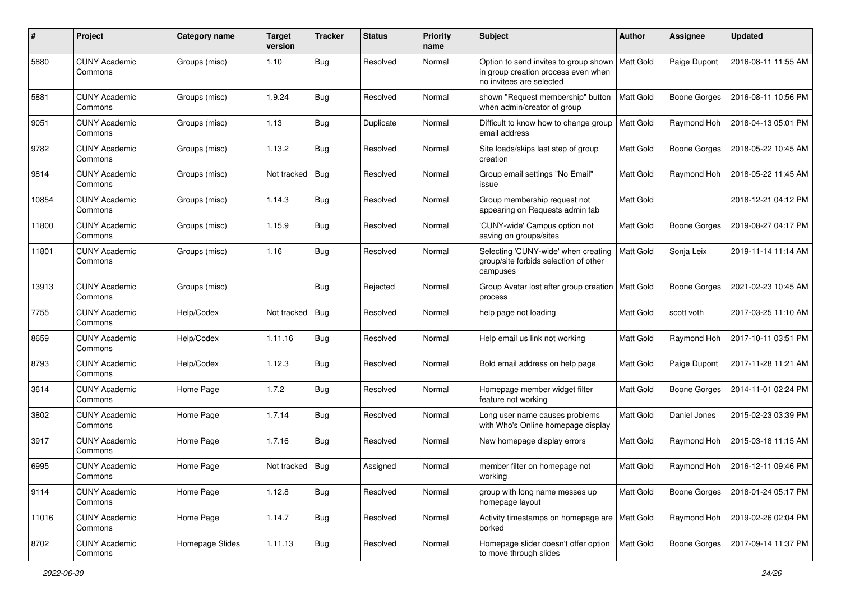| #     | Project                         | <b>Category name</b> | <b>Target</b><br>version | <b>Tracker</b> | <b>Status</b> | <b>Priority</b><br>name | Subject                                                                                                              | <b>Author</b>    | <b>Assignee</b>     | <b>Updated</b>      |
|-------|---------------------------------|----------------------|--------------------------|----------------|---------------|-------------------------|----------------------------------------------------------------------------------------------------------------------|------------------|---------------------|---------------------|
| 5880  | <b>CUNY Academic</b><br>Commons | Groups (misc)        | 1.10                     | Bug            | Resolved      | Normal                  | Option to send invites to group shown   Matt Gold<br>in group creation process even when<br>no invitees are selected |                  | Paige Dupont        | 2016-08-11 11:55 AM |
| 5881  | <b>CUNY Academic</b><br>Commons | Groups (misc)        | 1.9.24                   | <b>Bug</b>     | Resolved      | Normal                  | shown "Request membership" button<br>when admin/creator of group                                                     | <b>Matt Gold</b> | <b>Boone Gorges</b> | 2016-08-11 10:56 PM |
| 9051  | <b>CUNY Academic</b><br>Commons | Groups (misc)        | 1.13                     | <b>Bug</b>     | Duplicate     | Normal                  | Difficult to know how to change group   Matt Gold<br>email address                                                   |                  | Raymond Hoh         | 2018-04-13 05:01 PM |
| 9782  | CUNY Academic<br>Commons        | Groups (misc)        | 1.13.2                   | Bug            | Resolved      | Normal                  | Site loads/skips last step of group<br>creation                                                                      | Matt Gold        | <b>Boone Gorges</b> | 2018-05-22 10:45 AM |
| 9814  | <b>CUNY Academic</b><br>Commons | Groups (misc)        | Not tracked              | Bug            | Resolved      | Normal                  | Group email settings "No Email"<br>issue                                                                             | Matt Gold        | Raymond Hoh         | 2018-05-22 11:45 AM |
| 10854 | <b>CUNY Academic</b><br>Commons | Groups (misc)        | 1.14.3                   | <b>Bug</b>     | Resolved      | Normal                  | Group membership request not<br>appearing on Requests admin tab                                                      | Matt Gold        |                     | 2018-12-21 04:12 PM |
| 11800 | <b>CUNY Academic</b><br>Commons | Groups (misc)        | 1.15.9                   | Bug            | Resolved      | Normal                  | 'CUNY-wide' Campus option not<br>saving on groups/sites                                                              | Matt Gold        | <b>Boone Gorges</b> | 2019-08-27 04:17 PM |
| 11801 | <b>CUNY Academic</b><br>Commons | Groups (misc)        | 1.16                     | Bug            | Resolved      | Normal                  | Selecting 'CUNY-wide' when creating<br>group/site forbids selection of other<br>campuses                             | Matt Gold        | Sonja Leix          | 2019-11-14 11:14 AM |
| 13913 | <b>CUNY Academic</b><br>Commons | Groups (misc)        |                          | Bug            | Rejected      | Normal                  | Group Avatar lost after group creation<br>process                                                                    | Matt Gold        | <b>Boone Gorges</b> | 2021-02-23 10:45 AM |
| 7755  | <b>CUNY Academic</b><br>Commons | Help/Codex           | Not tracked              | Bug            | Resolved      | Normal                  | help page not loading                                                                                                | Matt Gold        | scott voth          | 2017-03-25 11:10 AM |
| 8659  | <b>CUNY Academic</b><br>Commons | Help/Codex           | 1.11.16                  | <b>Bug</b>     | Resolved      | Normal                  | Help email us link not working                                                                                       | Matt Gold        | Raymond Hoh         | 2017-10-11 03:51 PM |
| 8793  | <b>CUNY Academic</b><br>Commons | Help/Codex           | 1.12.3                   | Bug            | Resolved      | Normal                  | Bold email address on help page                                                                                      | Matt Gold        | Paige Dupont        | 2017-11-28 11:21 AM |
| 3614  | <b>CUNY Academic</b><br>Commons | Home Page            | 1.7.2                    | Bug            | Resolved      | Normal                  | Homepage member widget filter<br>feature not working                                                                 | Matt Gold        | <b>Boone Gorges</b> | 2014-11-01 02:24 PM |
| 3802  | <b>CUNY Academic</b><br>Commons | Home Page            | 1.7.14                   | <b>Bug</b>     | Resolved      | Normal                  | Long user name causes problems<br>with Who's Online homepage display                                                 | Matt Gold        | Daniel Jones        | 2015-02-23 03:39 PM |
| 3917  | <b>CUNY Academic</b><br>Commons | Home Page            | 1.7.16                   | <b>Bug</b>     | Resolved      | Normal                  | New homepage display errors                                                                                          | Matt Gold        | Raymond Hoh         | 2015-03-18 11:15 AM |
| 6995  | <b>CUNY Academic</b><br>Commons | Home Page            | Not tracked              | <b>Bug</b>     | Assigned      | Normal                  | member filter on homepage not<br>working                                                                             | Matt Gold        | Raymond Hoh         | 2016-12-11 09:46 PM |
| 9114  | <b>CUNY Academic</b><br>Commons | Home Page            | 1.12.8                   | <b>Bug</b>     | Resolved      | Normal                  | group with long name messes up<br>homepage layout                                                                    | Matt Gold        | Boone Gorges        | 2018-01-24 05:17 PM |
| 11016 | <b>CUNY Academic</b><br>Commons | Home Page            | 1.14.7                   | <b>Bug</b>     | Resolved      | Normal                  | Activity timestamps on homepage are   Matt Gold<br>borked                                                            |                  | Raymond Hoh         | 2019-02-26 02:04 PM |
| 8702  | <b>CUNY Academic</b><br>Commons | Homepage Slides      | 1.11.13                  | <b>Bug</b>     | Resolved      | Normal                  | Homepage slider doesn't offer option<br>to move through slides                                                       | Matt Gold        | Boone Gorges        | 2017-09-14 11:37 PM |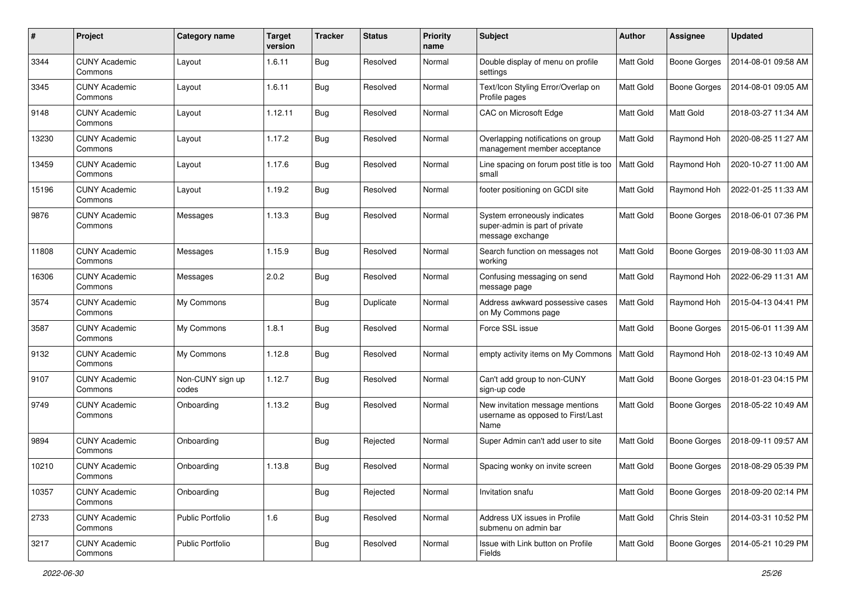| #     | Project                         | Category name             | <b>Target</b><br>version | <b>Tracker</b> | <b>Status</b> | <b>Priority</b><br>name | Subject                                                                            | <b>Author</b>    | <b>Assignee</b>     | <b>Updated</b>      |
|-------|---------------------------------|---------------------------|--------------------------|----------------|---------------|-------------------------|------------------------------------------------------------------------------------|------------------|---------------------|---------------------|
| 3344  | <b>CUNY Academic</b><br>Commons | Layout                    | 1.6.11                   | <b>Bug</b>     | Resolved      | Normal                  | Double display of menu on profile<br>settings                                      | Matt Gold        | <b>Boone Gorges</b> | 2014-08-01 09:58 AM |
| 3345  | <b>CUNY Academic</b><br>Commons | Layout                    | 1.6.11                   | <b>Bug</b>     | Resolved      | Normal                  | Text/Icon Styling Error/Overlap on<br>Profile pages                                | Matt Gold        | <b>Boone Gorges</b> | 2014-08-01 09:05 AM |
| 9148  | <b>CUNY Academic</b><br>Commons | Layout                    | 1.12.11                  | <b>Bug</b>     | Resolved      | Normal                  | CAC on Microsoft Edge                                                              | Matt Gold        | Matt Gold           | 2018-03-27 11:34 AM |
| 13230 | <b>CUNY Academic</b><br>Commons | Layout                    | 1.17.2                   | <b>Bug</b>     | Resolved      | Normal                  | Overlapping notifications on group<br>management member acceptance                 | Matt Gold        | Raymond Hoh         | 2020-08-25 11:27 AM |
| 13459 | <b>CUNY Academic</b><br>Commons | Layout                    | 1.17.6                   | Bug            | Resolved      | Normal                  | Line spacing on forum post title is too<br>small                                   | Matt Gold        | Raymond Hoh         | 2020-10-27 11:00 AM |
| 15196 | <b>CUNY Academic</b><br>Commons | Layout                    | 1.19.2                   | <b>Bug</b>     | Resolved      | Normal                  | footer positioning on GCDI site                                                    | Matt Gold        | Raymond Hoh         | 2022-01-25 11:33 AM |
| 9876  | <b>CUNY Academic</b><br>Commons | Messages                  | 1.13.3                   | <b>Bug</b>     | Resolved      | Normal                  | System erroneously indicates<br>super-admin is part of private<br>message exchange | Matt Gold        | <b>Boone Gorges</b> | 2018-06-01 07:36 PM |
| 11808 | <b>CUNY Academic</b><br>Commons | Messages                  | 1.15.9                   | Bug            | Resolved      | Normal                  | Search function on messages not<br>working                                         | Matt Gold        | <b>Boone Gorges</b> | 2019-08-30 11:03 AM |
| 16306 | <b>CUNY Academic</b><br>Commons | Messages                  | 2.0.2                    | <b>Bug</b>     | Resolved      | Normal                  | Confusing messaging on send<br>message page                                        | Matt Gold        | Raymond Hoh         | 2022-06-29 11:31 AM |
| 3574  | <b>CUNY Academic</b><br>Commons | My Commons                |                          | <b>Bug</b>     | Duplicate     | Normal                  | Address awkward possessive cases<br>on My Commons page                             | Matt Gold        | Raymond Hoh         | 2015-04-13 04:41 PM |
| 3587  | <b>CUNY Academic</b><br>Commons | My Commons                | 1.8.1                    | Bug            | Resolved      | Normal                  | Force SSL issue                                                                    | Matt Gold        | Boone Gorges        | 2015-06-01 11:39 AM |
| 9132  | <b>CUNY Academic</b><br>Commons | My Commons                | 1.12.8                   | <b>Bug</b>     | Resolved      | Normal                  | empty activity items on My Commons                                                 | <b>Matt Gold</b> | Raymond Hoh         | 2018-02-13 10:49 AM |
| 9107  | <b>CUNY Academic</b><br>Commons | Non-CUNY sign up<br>codes | 1.12.7                   | <b>Bug</b>     | Resolved      | Normal                  | Can't add group to non-CUNY<br>sign-up code                                        | Matt Gold        | <b>Boone Gorges</b> | 2018-01-23 04:15 PM |
| 9749  | <b>CUNY Academic</b><br>Commons | Onboarding                | 1.13.2                   | <b>Bug</b>     | Resolved      | Normal                  | New invitation message mentions<br>username as opposed to First/Last<br>Name       | Matt Gold        | <b>Boone Gorges</b> | 2018-05-22 10:49 AM |
| 9894  | <b>CUNY Academic</b><br>Commons | Onboarding                |                          | <b>Bug</b>     | Rejected      | Normal                  | Super Admin can't add user to site                                                 | Matt Gold        | <b>Boone Gorges</b> | 2018-09-11 09:57 AM |
| 10210 | <b>CUNY Academic</b><br>Commons | Onboarding                | 1.13.8                   | <b>Bug</b>     | Resolved      | Normal                  | Spacing wonky on invite screen                                                     | Matt Gold        | Boone Gorges        | 2018-08-29 05:39 PM |
| 10357 | <b>CUNY Academic</b><br>Commons | Onboarding                |                          | <b>Bug</b>     | Rejected      | Normal                  | Invitation snafu                                                                   | Matt Gold        | Boone Gorges        | 2018-09-20 02:14 PM |
| 2733  | <b>CUNY Academic</b><br>Commons | <b>Public Portfolio</b>   | 1.6                      | <b>Bug</b>     | Resolved      | Normal                  | Address UX issues in Profile<br>submenu on admin bar                               | Matt Gold        | Chris Stein         | 2014-03-31 10:52 PM |
| 3217  | <b>CUNY Academic</b><br>Commons | Public Portfolio          |                          | <b>Bug</b>     | Resolved      | Normal                  | Issue with Link button on Profile<br>Fields                                        | Matt Gold        | <b>Boone Gorges</b> | 2014-05-21 10:29 PM |